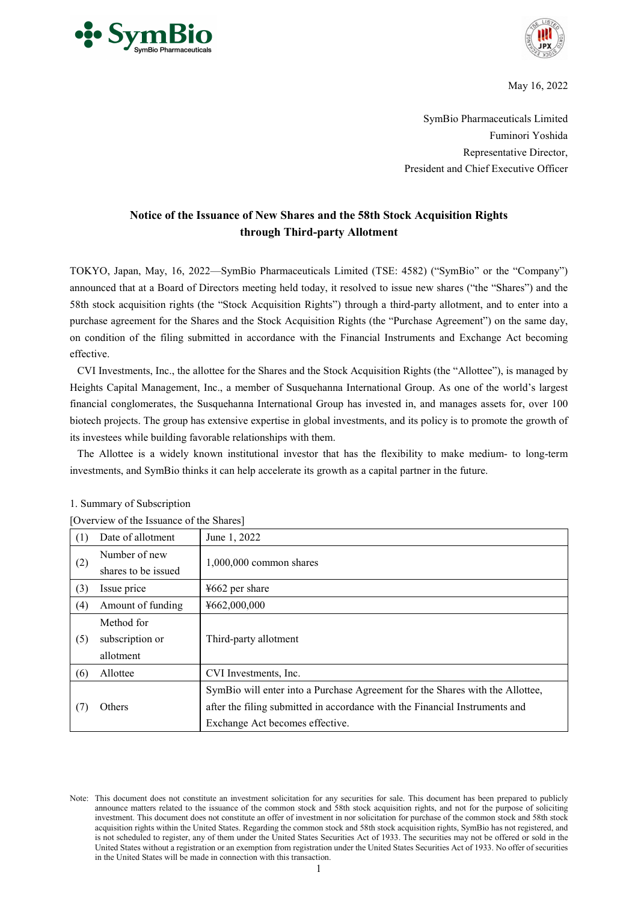



May 16, 2022

SymBio Pharmaceuticals Limited Fuminori Yoshida Representative Director, President and Chief Executive Officer

# **Notice of the Issuance of New Shares and the 58th Stock Acquisition Rights through Third-party Allotment**

TOKYO, Japan, May, 16, 2022—SymBio Pharmaceuticals Limited (TSE: 4582) ("SymBio" or the "Company") announced that at a Board of Directors meeting held today, it resolved to issue new shares ("the "Shares") and the 58th stock acquisition rights (the "Stock Acquisition Rights") through a third-party allotment, and to enter into a purchase agreement for the Shares and the Stock Acquisition Rights (the "Purchase Agreement") on the same day, on condition of the filing submitted in accordance with the Financial Instruments and Exchange Act becoming effective.

CVI Investments, Inc., the allottee for the Shares and the Stock Acquisition Rights (the "Allottee"), is managed by Heights Capital Management, Inc., a member of Susquehanna International Group. As one of the world's largest financial conglomerates, the Susquehanna International Group has invested in, and manages assets for, over 100 biotech projects. The group has extensive expertise in global investments, and its policy is to promote the growth of its investees while building favorable relationships with them.

The Allottee is a widely known institutional investor that has the flexibility to make medium- to long-term investments, and SymBio thinks it can help accelerate its growth as a capital partner in the future.

|     | Overview of the Issuance of the Shares |                                                                               |  |  |
|-----|----------------------------------------|-------------------------------------------------------------------------------|--|--|
| (1) | Date of allotment                      | June 1, 2022                                                                  |  |  |
|     | Number of new                          | $1,000,000$ common shares                                                     |  |  |
| (2) | shares to be issued                    |                                                                               |  |  |
| (3) | Issue price                            | $4662$ per share                                                              |  |  |
| (4) | Amount of funding                      | ¥662,000,000                                                                  |  |  |
|     | Method for                             |                                                                               |  |  |
| (5) | subscription or                        | Third-party allotment                                                         |  |  |
|     | allotment                              |                                                                               |  |  |
| (6) | Allottee                               | CVI Investments, Inc.                                                         |  |  |
|     | Others                                 | SymBio will enter into a Purchase Agreement for the Shares with the Allottee, |  |  |
| (7) |                                        | after the filing submitted in accordance with the Financial Instruments and   |  |  |
|     |                                        | Exchange Act becomes effective.                                               |  |  |

[Overview of the Issuance of the Shares]

Note: This document does not constitute an investment solicitation for any securities for sale. This document has been prepared to publicly announce matters related to the issuance of the common stock and 58th stock acquisition rights, and not for the purpose of soliciting investment. This document does not constitute an offer of investment in nor solicitation for purchase of the common stock and 58th stock acquisition rights within the United States. Regarding the common stock and 58th stock acquisition rights, SymBio has not registered, and is not scheduled to register, any of them under the United States Securities Act of 1933. The securities may not be offered or sold in the United States without a registration or an exemption from registration under the United States Securities Act of 1933. No offer of securities in the United States will be made in connection with this transaction.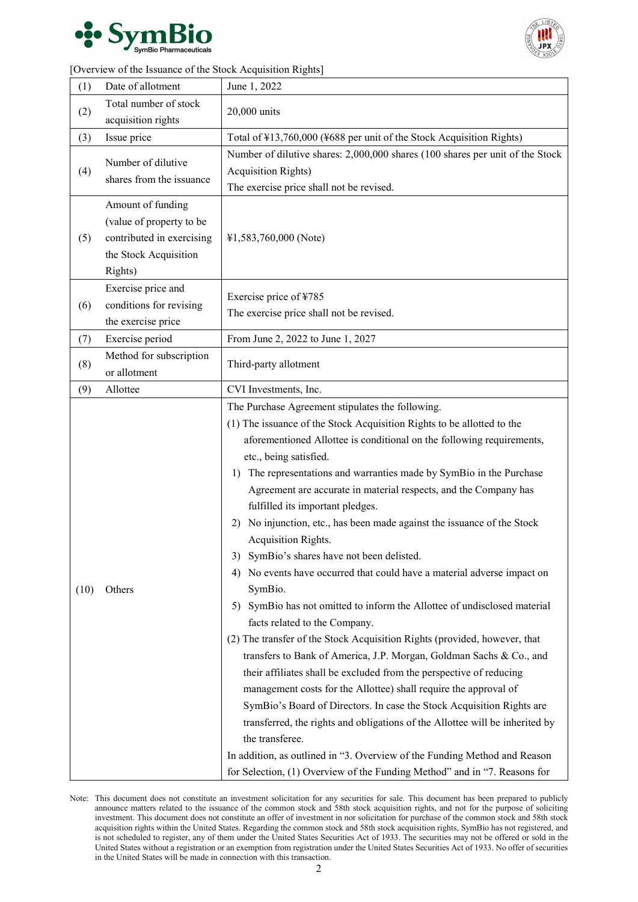



| (1)  | Date of allotment                       | June 1, 2022                                                                                                                                                                                                                                                                                                                                                                                                                                                                                                                                                                                                                                                                                                                                                                                                                                                                                                                                                                                                                                                                                                                                                                                                                                                                                                                                                                                                |  |
|------|-----------------------------------------|-------------------------------------------------------------------------------------------------------------------------------------------------------------------------------------------------------------------------------------------------------------------------------------------------------------------------------------------------------------------------------------------------------------------------------------------------------------------------------------------------------------------------------------------------------------------------------------------------------------------------------------------------------------------------------------------------------------------------------------------------------------------------------------------------------------------------------------------------------------------------------------------------------------------------------------------------------------------------------------------------------------------------------------------------------------------------------------------------------------------------------------------------------------------------------------------------------------------------------------------------------------------------------------------------------------------------------------------------------------------------------------------------------------|--|
| (2)  | Total number of stock                   | 20,000 units                                                                                                                                                                                                                                                                                                                                                                                                                                                                                                                                                                                                                                                                                                                                                                                                                                                                                                                                                                                                                                                                                                                                                                                                                                                                                                                                                                                                |  |
|      | acquisition rights                      |                                                                                                                                                                                                                                                                                                                                                                                                                                                                                                                                                                                                                                                                                                                                                                                                                                                                                                                                                                                                                                                                                                                                                                                                                                                                                                                                                                                                             |  |
| (3)  | Issue price                             | Total of ¥13,760,000 (¥688 per unit of the Stock Acquisition Rights)                                                                                                                                                                                                                                                                                                                                                                                                                                                                                                                                                                                                                                                                                                                                                                                                                                                                                                                                                                                                                                                                                                                                                                                                                                                                                                                                        |  |
|      | Number of dilutive                      | Number of dilutive shares: 2,000,000 shares (100 shares per unit of the Stock                                                                                                                                                                                                                                                                                                                                                                                                                                                                                                                                                                                                                                                                                                                                                                                                                                                                                                                                                                                                                                                                                                                                                                                                                                                                                                                               |  |
| (4)  | shares from the issuance                | <b>Acquisition Rights)</b>                                                                                                                                                                                                                                                                                                                                                                                                                                                                                                                                                                                                                                                                                                                                                                                                                                                                                                                                                                                                                                                                                                                                                                                                                                                                                                                                                                                  |  |
|      |                                         | The exercise price shall not be revised.                                                                                                                                                                                                                                                                                                                                                                                                                                                                                                                                                                                                                                                                                                                                                                                                                                                                                                                                                                                                                                                                                                                                                                                                                                                                                                                                                                    |  |
|      | Amount of funding                       |                                                                                                                                                                                                                                                                                                                                                                                                                                                                                                                                                                                                                                                                                                                                                                                                                                                                                                                                                                                                                                                                                                                                                                                                                                                                                                                                                                                                             |  |
|      | (value of property to be                |                                                                                                                                                                                                                                                                                                                                                                                                                                                                                                                                                                                                                                                                                                                                                                                                                                                                                                                                                                                                                                                                                                                                                                                                                                                                                                                                                                                                             |  |
| (5)  | contributed in exercising               | ¥1,583,760,000 (Note)                                                                                                                                                                                                                                                                                                                                                                                                                                                                                                                                                                                                                                                                                                                                                                                                                                                                                                                                                                                                                                                                                                                                                                                                                                                                                                                                                                                       |  |
|      | the Stock Acquisition                   |                                                                                                                                                                                                                                                                                                                                                                                                                                                                                                                                                                                                                                                                                                                                                                                                                                                                                                                                                                                                                                                                                                                                                                                                                                                                                                                                                                                                             |  |
|      | Rights)                                 |                                                                                                                                                                                                                                                                                                                                                                                                                                                                                                                                                                                                                                                                                                                                                                                                                                                                                                                                                                                                                                                                                                                                                                                                                                                                                                                                                                                                             |  |
|      | Exercise price and                      | Exercise price of ¥785                                                                                                                                                                                                                                                                                                                                                                                                                                                                                                                                                                                                                                                                                                                                                                                                                                                                                                                                                                                                                                                                                                                                                                                                                                                                                                                                                                                      |  |
| (6)  | conditions for revising                 | The exercise price shall not be revised.                                                                                                                                                                                                                                                                                                                                                                                                                                                                                                                                                                                                                                                                                                                                                                                                                                                                                                                                                                                                                                                                                                                                                                                                                                                                                                                                                                    |  |
|      | the exercise price                      |                                                                                                                                                                                                                                                                                                                                                                                                                                                                                                                                                                                                                                                                                                                                                                                                                                                                                                                                                                                                                                                                                                                                                                                                                                                                                                                                                                                                             |  |
| (7)  | Exercise period                         | From June 2, 2022 to June 1, 2027                                                                                                                                                                                                                                                                                                                                                                                                                                                                                                                                                                                                                                                                                                                                                                                                                                                                                                                                                                                                                                                                                                                                                                                                                                                                                                                                                                           |  |
| (8)  | Method for subscription<br>or allotment | Third-party allotment                                                                                                                                                                                                                                                                                                                                                                                                                                                                                                                                                                                                                                                                                                                                                                                                                                                                                                                                                                                                                                                                                                                                                                                                                                                                                                                                                                                       |  |
| (9)  | Allottee                                | CVI Investments, Inc.                                                                                                                                                                                                                                                                                                                                                                                                                                                                                                                                                                                                                                                                                                                                                                                                                                                                                                                                                                                                                                                                                                                                                                                                                                                                                                                                                                                       |  |
| (10) | Others                                  | The Purchase Agreement stipulates the following.<br>(1) The issuance of the Stock Acquisition Rights to be allotted to the<br>aforementioned Allottee is conditional on the following requirements,<br>etc., being satisfied.<br>1) The representations and warranties made by SymBio in the Purchase<br>Agreement are accurate in material respects, and the Company has<br>fulfilled its important pledges.<br>No injunction, etc., has been made against the issuance of the Stock<br>2)<br>Acquisition Rights.<br>3) SymBio's shares have not been delisted.<br>4) No events have occurred that could have a material adverse impact on<br>SymBio.<br>SymBio has not omitted to inform the Allottee of undisclosed material<br>5)<br>facts related to the Company.<br>(2) The transfer of the Stock Acquisition Rights (provided, however, that<br>transfers to Bank of America, J.P. Morgan, Goldman Sachs & Co., and<br>their affiliates shall be excluded from the perspective of reducing<br>management costs for the Allottee) shall require the approval of<br>SymBio's Board of Directors. In case the Stock Acquisition Rights are<br>transferred, the rights and obligations of the Allottee will be inherited by<br>the transferee.<br>In addition, as outlined in "3. Overview of the Funding Method and Reason<br>for Selection, (1) Overview of the Funding Method" and in "7. Reasons for |  |

Note: This document does not constitute an investment solicitation for any securities for sale. This document has been prepared to publicly announce matters related to the issuance of the common stock and 58th stock acquisition rights, and not for the purpose of soliciting investment. This document does not constitute an offer of investment in nor solicitation for purchase of the common stock and 58th stock acquisition rights within the United States. Regarding the common stock and 58th stock acquisition rights, SymBio has not registered, and is not scheduled to register, any of them under the United States Securities Act of 1933. The securities may not be offered or sold in the United States without a registration or an exemption from registration under the United States Securities Act of 1933. No offer of securities in the United States will be made in connection with this transaction.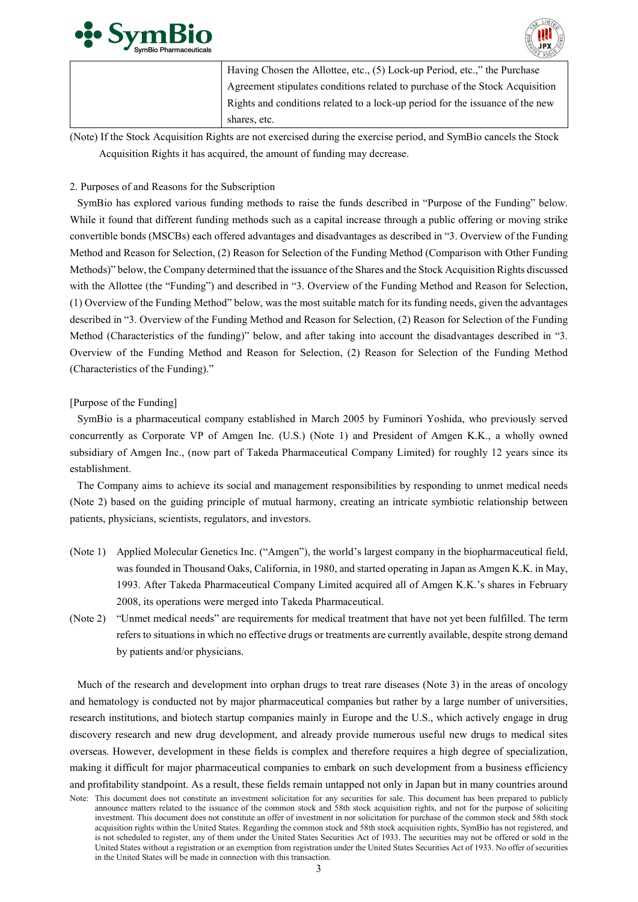



| Having Chosen the Allottee, etc., (5) Lock-up Period, etc.," the Purchase     |
|-------------------------------------------------------------------------------|
| Agreement stipulates conditions related to purchase of the Stock Acquisition  |
| Rights and conditions related to a lock-up period for the issuance of the new |
| shares, etc.                                                                  |

(Note) If the Stock Acquisition Rights are not exercised during the exercise period, and SymBio cancels the Stock Acquisition Rights it has acquired, the amount of funding may decrease.

# 2. Purposes of and Reasons for the Subscription

SymBio has explored various funding methods to raise the funds described in "Purpose of the Funding" below. While it found that different funding methods such as a capital increase through a public offering or moving strike convertible bonds (MSCBs) each offered advantages and disadvantages as described in "3. Overview of the Funding Method and Reason for Selection, (2) Reason for Selection of the Funding Method (Comparison with Other Funding Methods)" below, the Company determined that the issuance of the Shares and the Stock Acquisition Rights discussed with the Allottee (the "Funding") and described in "3. Overview of the Funding Method and Reason for Selection, (1) Overview of the Funding Method" below, was the most suitable match for its funding needs, given the advantages described in "3. Overview of the Funding Method and Reason for Selection, (2) Reason for Selection of the Funding Method (Characteristics of the funding)" below, and after taking into account the disadvantages described in "3. Overview of the Funding Method and Reason for Selection, (2) Reason for Selection of the Funding Method (Characteristics of the Funding)."

# [Purpose of the Funding]

SymBio is a pharmaceutical company established in March 2005 by Fuminori Yoshida, who previously served concurrently as Corporate VP of Amgen Inc. (U.S.) (Note 1) and President of Amgen K.K., a wholly owned subsidiary of Amgen Inc., (now part of Takeda Pharmaceutical Company Limited) for roughly 12 years since its establishment.

The Company aims to achieve its social and management responsibilities by responding to unmet medical needs (Note 2) based on the guiding principle of mutual harmony, creating an intricate symbiotic relationship between patients, physicians, scientists, regulators, and investors.

- (Note 1) Applied Molecular Genetics Inc. ("Amgen"), the world's largest company in the biopharmaceutical field, was founded in Thousand Oaks, California, in 1980, and started operating in Japan as Amgen K.K. in May, 1993. After Takeda Pharmaceutical Company Limited acquired all of Amgen K.K.'s shares in February 2008, its operations were merged into Takeda Pharmaceutical.
- (Note 2) "Unmet medical needs" are requirements for medical treatment that have not yet been fulfilled. The term refers to situations in which no effective drugs or treatments are currently available, despite strong demand by patients and/or physicians.

Much of the research and development into orphan drugs to treat rare diseases (Note 3) in the areas of oncology and hematology is conducted not by major pharmaceutical companies but rather by a large number of universities, research institutions, and biotech startup companies mainly in Europe and the U.S., which actively engage in drug discovery research and new drug development, and already provide numerous useful new drugs to medical sites overseas. However, development in these fields is complex and therefore requires a high degree of specialization, making it difficult for major pharmaceutical companies to embark on such development from a business efficiency and profitability standpoint. As a result, these fields remain untapped not only in Japan but in many countries around

Note: This document does not constitute an investment solicitation for any securities for sale. This document has been prepared to publicly announce matters related to the issuance of the common stock and 58th stock acquisition rights, and not for the purpose of soliciting investment. This document does not constitute an offer of investment in nor solicitation for purchase of the common stock and 58th stock acquisition rights within the United States. Regarding the common stock and 58th stock acquisition rights, SymBio has not registered, and is not scheduled to register, any of them under the United States Securities Act of 1933. The securities may not be offered or sold in the United States without a registration or an exemption from registration under the United States Securities Act of 1933. No offer of securities in the United States will be made in connection with this transaction.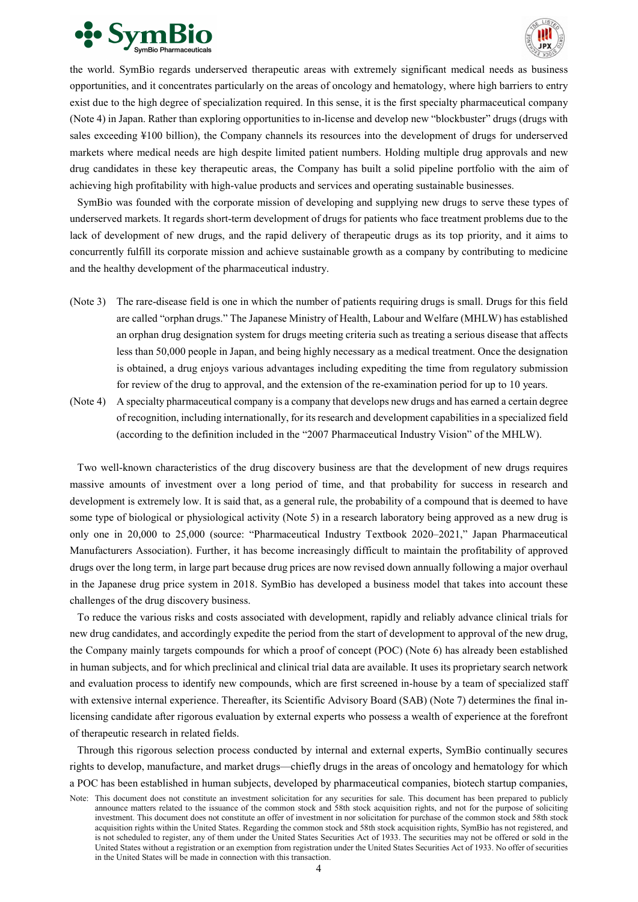



the world. SymBio regards underserved therapeutic areas with extremely significant medical needs as business opportunities, and it concentrates particularly on the areas of oncology and hematology, where high barriers to entry exist due to the high degree of specialization required. In this sense, it is the first specialty pharmaceutical company (Note 4) in Japan. Rather than exploring opportunities to in-license and develop new "blockbuster" drugs (drugs with sales exceeding ¥100 billion), the Company channels its resources into the development of drugs for underserved markets where medical needs are high despite limited patient numbers. Holding multiple drug approvals and new drug candidates in these key therapeutic areas, the Company has built a solid pipeline portfolio with the aim of achieving high profitability with high-value products and services and operating sustainable businesses.

SymBio was founded with the corporate mission of developing and supplying new drugs to serve these types of underserved markets. It regards short-term development of drugs for patients who face treatment problems due to the lack of development of new drugs, and the rapid delivery of therapeutic drugs as its top priority, and it aims to concurrently fulfill its corporate mission and achieve sustainable growth as a company by contributing to medicine and the healthy development of the pharmaceutical industry.

- (Note 3) The rare-disease field is one in which the number of patients requiring drugs is small. Drugs for this field are called "orphan drugs." The Japanese Ministry of Health, Labour and Welfare (MHLW) has established an orphan drug designation system for drugs meeting criteria such as treating a serious disease that affects less than 50,000 people in Japan, and being highly necessary as a medical treatment. Once the designation is obtained, a drug enjoys various advantages including expediting the time from regulatory submission for review of the drug to approval, and the extension of the re-examination period for up to 10 years.
- (Note 4) A specialty pharmaceutical company is a company that develops new drugs and has earned a certain degree of recognition, including internationally, for its research and development capabilities in a specialized field (according to the definition included in the "2007 Pharmaceutical Industry Vision" of the MHLW).

Two well-known characteristics of the drug discovery business are that the development of new drugs requires massive amounts of investment over a long period of time, and that probability for success in research and development is extremely low. It is said that, as a general rule, the probability of a compound that is deemed to have some type of biological or physiological activity (Note 5) in a research laboratory being approved as a new drug is only one in 20,000 to 25,000 (source: "Pharmaceutical Industry Textbook 2020–2021," Japan Pharmaceutical Manufacturers Association). Further, it has become increasingly difficult to maintain the profitability of approved drugs over the long term, in large part because drug prices are now revised down annually following a major overhaul in the Japanese drug price system in 2018. SymBio has developed a business model that takes into account these challenges of the drug discovery business.

To reduce the various risks and costs associated with development, rapidly and reliably advance clinical trials for new drug candidates, and accordingly expedite the period from the start of development to approval of the new drug, the Company mainly targets compounds for which a proof of concept (POC) (Note 6) has already been established in human subjects, and for which preclinical and clinical trial data are available. It uses its proprietary search network and evaluation process to identify new compounds, which are first screened in-house by a team of specialized staff with extensive internal experience. Thereafter, its Scientific Advisory Board (SAB) (Note 7) determines the final inlicensing candidate after rigorous evaluation by external experts who possess a wealth of experience at the forefront of therapeutic research in related fields.

Through this rigorous selection process conducted by internal and external experts, SymBio continually secures rights to develop, manufacture, and market drugs—chiefly drugs in the areas of oncology and hematology for which a POC has been established in human subjects, developed by pharmaceutical companies, biotech startup companies,

Note: This document does not constitute an investment solicitation for any securities for sale. This document has been prepared to publicly announce matters related to the issuance of the common stock and 58th stock acquisition rights, and not for the purpose of soliciting investment. This document does not constitute an offer of investment in nor solicitation for purchase of the common stock and 58th stock acquisition rights within the United States. Regarding the common stock and 58th stock acquisition rights, SymBio has not registered, and is not scheduled to register, any of them under the United States Securities Act of 1933. The securities may not be offered or sold in the United States without a registration or an exemption from registration under the United States Securities Act of 1933. No offer of securities in the United States will be made in connection with this transaction.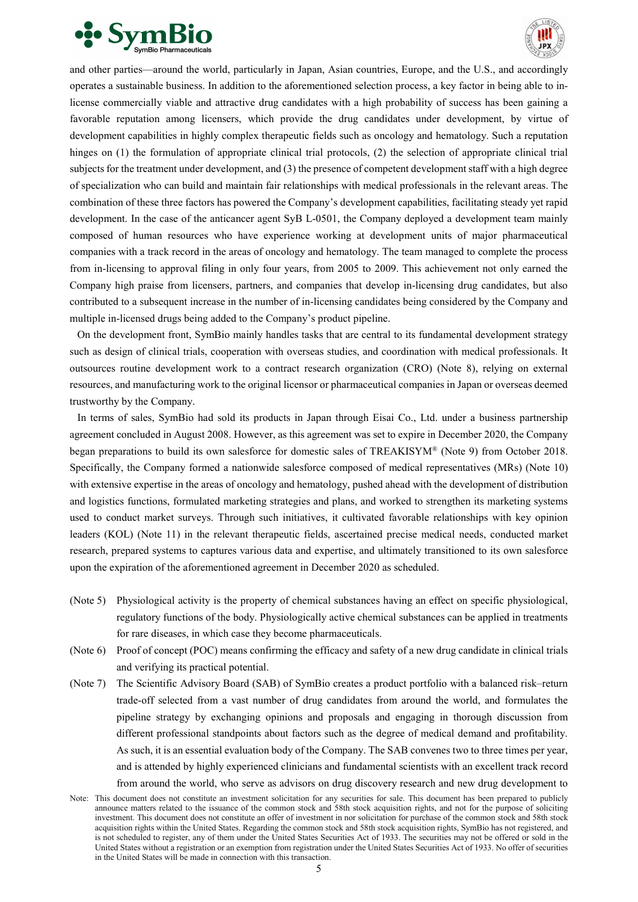



and other parties—around the world, particularly in Japan, Asian countries, Europe, and the U.S., and accordingly operates a sustainable business. In addition to the aforementioned selection process, a key factor in being able to inlicense commercially viable and attractive drug candidates with a high probability of success has been gaining a favorable reputation among licensers, which provide the drug candidates under development, by virtue of development capabilities in highly complex therapeutic fields such as oncology and hematology. Such a reputation hinges on (1) the formulation of appropriate clinical trial protocols, (2) the selection of appropriate clinical trial subjects for the treatment under development, and (3) the presence of competent development staff with a high degree of specialization who can build and maintain fair relationships with medical professionals in the relevant areas. The combination of these three factors has powered the Company's development capabilities, facilitating steady yet rapid development. In the case of the anticancer agent SyB L-0501, the Company deployed a development team mainly composed of human resources who have experience working at development units of major pharmaceutical companies with a track record in the areas of oncology and hematology. The team managed to complete the process from in-licensing to approval filing in only four years, from 2005 to 2009. This achievement not only earned the Company high praise from licensers, partners, and companies that develop in-licensing drug candidates, but also contributed to a subsequent increase in the number of in-licensing candidates being considered by the Company and multiple in-licensed drugs being added to the Company's product pipeline.

On the development front, SymBio mainly handles tasks that are central to its fundamental development strategy such as design of clinical trials, cooperation with overseas studies, and coordination with medical professionals. It outsources routine development work to a contract research organization (CRO) (Note 8), relying on external resources, and manufacturing work to the original licensor or pharmaceutical companies in Japan or overseas deemed trustworthy by the Company.

In terms of sales, SymBio had sold its products in Japan through Eisai Co., Ltd. under a business partnership agreement concluded in August 2008. However, as this agreement was set to expire in December 2020, the Company began preparations to build its own salesforce for domestic sales of TREAKISYM® (Note 9) from October 2018. Specifically, the Company formed a nationwide salesforce composed of medical representatives (MRs) (Note 10) with extensive expertise in the areas of oncology and hematology, pushed ahead with the development of distribution and logistics functions, formulated marketing strategies and plans, and worked to strengthen its marketing systems used to conduct market surveys. Through such initiatives, it cultivated favorable relationships with key opinion leaders (KOL) (Note 11) in the relevant therapeutic fields, ascertained precise medical needs, conducted market research, prepared systems to captures various data and expertise, and ultimately transitioned to its own salesforce upon the expiration of the aforementioned agreement in December 2020 as scheduled.

- (Note 5) Physiological activity is the property of chemical substances having an effect on specific physiological, regulatory functions of the body. Physiologically active chemical substances can be applied in treatments for rare diseases, in which case they become pharmaceuticals.
- (Note 6) Proof of concept (POC) means confirming the efficacy and safety of a new drug candidate in clinical trials and verifying its practical potential.
- (Note 7) The Scientific Advisory Board (SAB) of SymBio creates a product portfolio with a balanced risk–return trade-off selected from a vast number of drug candidates from around the world, and formulates the pipeline strategy by exchanging opinions and proposals and engaging in thorough discussion from different professional standpoints about factors such as the degree of medical demand and profitability. As such, it is an essential evaluation body of the Company. The SAB convenes two to three times per year, and is attended by highly experienced clinicians and fundamental scientists with an excellent track record from around the world, who serve as advisors on drug discovery research and new drug development to
- Note: This document does not constitute an investment solicitation for any securities for sale. This document has been prepared to publicly announce matters related to the issuance of the common stock and 58th stock acquisition rights, and not for the purpose of soliciting investment. This document does not constitute an offer of investment in nor solicitation for purchase of the common stock and 58th stock acquisition rights within the United States. Regarding the common stock and 58th stock acquisition rights, SymBio has not registered, and is not scheduled to register, any of them under the United States Securities Act of 1933. The securities may not be offered or sold in the United States without a registration or an exemption from registration under the United States Securities Act of 1933. No offer of securities in the United States will be made in connection with this transaction.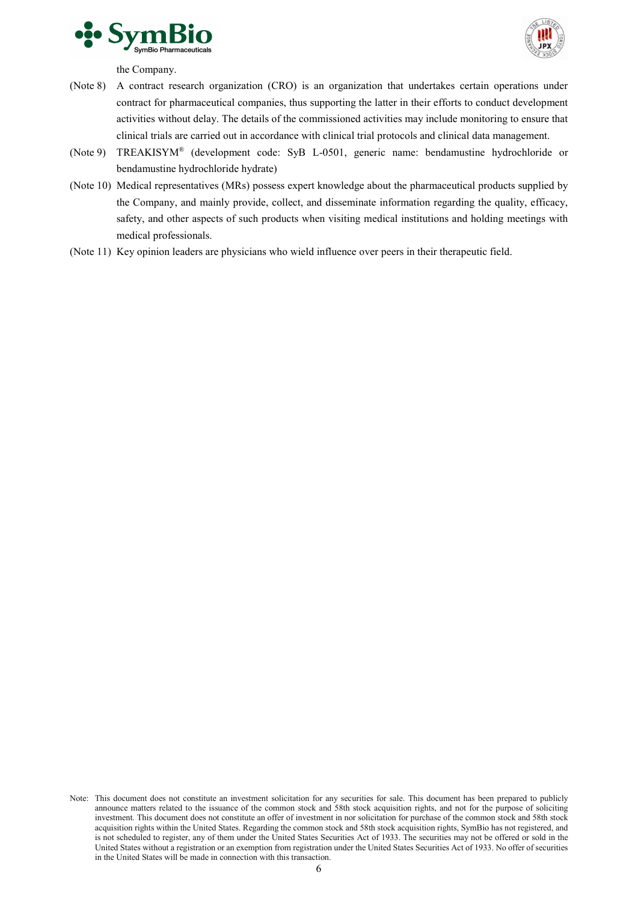



the Company.

- (Note 8) A contract research organization (CRO) is an organization that undertakes certain operations under contract for pharmaceutical companies, thus supporting the latter in their efforts to conduct development activities without delay. The details of the commissioned activities may include monitoring to ensure that clinical trials are carried out in accordance with clinical trial protocols and clinical data management.
- (Note 9) TREAKISYM® (development code: SyB L-0501, generic name: bendamustine hydrochloride or bendamustine hydrochloride hydrate)
- (Note 10) Medical representatives (MRs) possess expert knowledge about the pharmaceutical products supplied by the Company, and mainly provide, collect, and disseminate information regarding the quality, efficacy, safety, and other aspects of such products when visiting medical institutions and holding meetings with medical professionals.
- (Note 11) Key opinion leaders are physicians who wield influence over peers in their therapeutic field.

Note: This document does not constitute an investment solicitation for any securities for sale. This document has been prepared to publicly announce matters related to the issuance of the common stock and 58th stock acquisition rights, and not for the purpose of soliciting investment. This document does not constitute an offer of investment in nor solicitation for purchase of the common stock and 58th stock acquisition rights within the United States. Regarding the common stock and 58th stock acquisition rights, SymBio has not registered, and is not scheduled to register, any of them under the United States Securities Act of 1933. The securities may not be offered or sold in the United States without a registration or an exemption from registration under the United States Securities Act of 1933. No offer of securities in the United States will be made in connection with this transaction.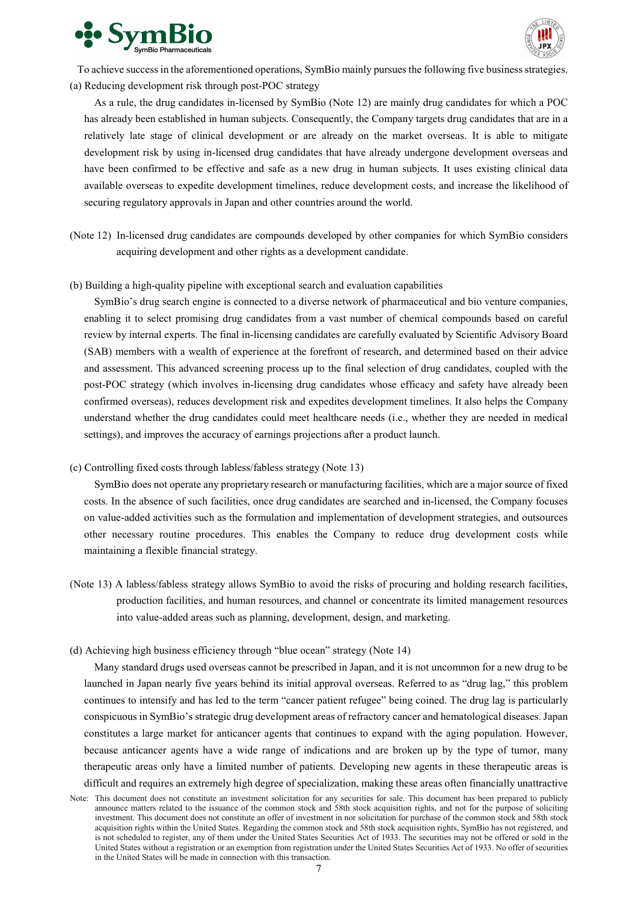



To achieve success in the aforementioned operations, SymBio mainly pursues the following five business strategies. (a) Reducing development risk through post-POC strategy

As a rule, the drug candidates in-licensed by SymBio (Note 12) are mainly drug candidates for which a POC has already been established in human subjects. Consequently, the Company targets drug candidates that are in a relatively late stage of clinical development or are already on the market overseas. It is able to mitigate development risk by using in-licensed drug candidates that have already undergone development overseas and have been confirmed to be effective and safe as a new drug in human subjects. It uses existing clinical data available overseas to expedite development timelines, reduce development costs, and increase the likelihood of securing regulatory approvals in Japan and other countries around the world.

- (Note 12) In-licensed drug candidates are compounds developed by other companies for which SymBio considers acquiring development and other rights as a development candidate.
- (b) Building a high-quality pipeline with exceptional search and evaluation capabilities

SymBio's drug search engine is connected to a diverse network of pharmaceutical and bio venture companies, enabling it to select promising drug candidates from a vast number of chemical compounds based on careful review by internal experts. The final in-licensing candidates are carefully evaluated by Scientific Advisory Board (SAB) members with a wealth of experience at the forefront of research, and determined based on their advice and assessment. This advanced screening process up to the final selection of drug candidates, coupled with the post-POC strategy (which involves in-licensing drug candidates whose efficacy and safety have already been confirmed overseas), reduces development risk and expedites development timelines. It also helps the Company understand whether the drug candidates could meet healthcare needs (i.e., whether they are needed in medical settings), and improves the accuracy of earnings projections after a product launch.

(c) Controlling fixed costs through labless/fabless strategy (Note 13)

SymBio does not operate any proprietary research or manufacturing facilities, which are a major source of fixed costs. In the absence of such facilities, once drug candidates are searched and in-licensed, the Company focuses on value-added activities such as the formulation and implementation of development strategies, and outsources other necessary routine procedures. This enables the Company to reduce drug development costs while maintaining a flexible financial strategy.

- (Note 13) A labless/fabless strategy allows SymBio to avoid the risks of procuring and holding research facilities, production facilities, and human resources, and channel or concentrate its limited management resources into value-added areas such as planning, development, design, and marketing.
- (d) Achieving high business efficiency through "blue ocean" strategy (Note 14)

Many standard drugs used overseas cannot be prescribed in Japan, and it is not uncommon for a new drug to be launched in Japan nearly five years behind its initial approval overseas. Referred to as "drug lag," this problem continues to intensify and has led to the term "cancer patient refugee" being coined. The drug lag is particularly conspicuous in SymBio's strategic drug development areas of refractory cancer and hematological diseases. Japan constitutes a large market for anticancer agents that continues to expand with the aging population. However, because anticancer agents have a wide range of indications and are broken up by the type of tumor, many therapeutic areas only have a limited number of patients. Developing new agents in these therapeutic areas is difficult and requires an extremely high degree of specialization, making these areas often financially unattractive

Note: This document does not constitute an investment solicitation for any securities for sale. This document has been prepared to publicly announce matters related to the issuance of the common stock and 58th stock acquisition rights, and not for the purpose of soliciting investment. This document does not constitute an offer of investment in nor solicitation for purchase of the common stock and 58th stock acquisition rights within the United States. Regarding the common stock and 58th stock acquisition rights, SymBio has not registered, and is not scheduled to register, any of them under the United States Securities Act of 1933. The securities may not be offered or sold in the United States without a registration or an exemption from registration under the United States Securities Act of 1933. No offer of securities in the United States will be made in connection with this transaction.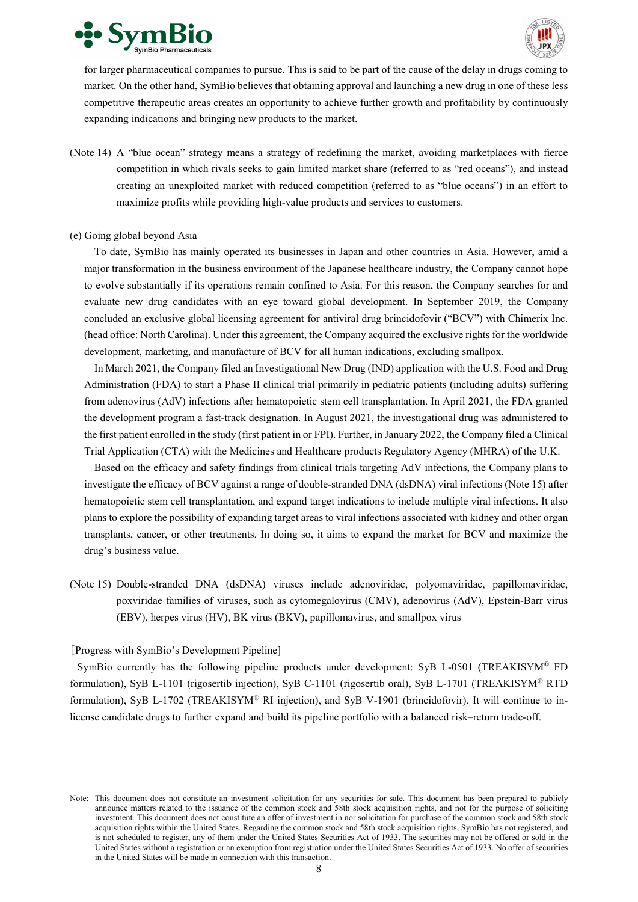



for larger pharmaceutical companies to pursue. This is said to be part of the cause of the delay in drugs coming to market. On the other hand, SymBio believes that obtaining approval and launching a new drug in one of these less competitive therapeutic areas creates an opportunity to achieve further growth and profitability by continuously expanding indications and bringing new products to the market.

(Note 14) A "blue ocean" strategy means a strategy of redefining the market, avoiding marketplaces with fierce competition in which rivals seeks to gain limited market share (referred to as "red oceans"), and instead creating an unexploited market with reduced competition (referred to as "blue oceans") in an effort to maximize profits while providing high-value products and services to customers.

#### (e) Going global beyond Asia

To date, SymBio has mainly operated its businesses in Japan and other countries in Asia. However, amid a major transformation in the business environment of the Japanese healthcare industry, the Company cannot hope to evolve substantially if its operations remain confined to Asia. For this reason, the Company searches for and evaluate new drug candidates with an eye toward global development. In September 2019, the Company concluded an exclusive global licensing agreement for antiviral drug brincidofovir ("BCV") with Chimerix Inc. (head office: North Carolina). Under this agreement, the Company acquired the exclusive rights for the worldwide development, marketing, and manufacture of BCV for all human indications, excluding smallpox.

In March 2021, the Company filed an Investigational New Drug (IND) application with the U.S. Food and Drug Administration (FDA) to start a Phase II clinical trial primarily in pediatric patients (including adults) suffering from adenovirus (AdV) infections after hematopoietic stem cell transplantation. In April 2021, the FDA granted the development program a fast-track designation. In August 2021, the investigational drug was administered to the first patient enrolled in the study (first patient in or FPI). Further, in January 2022, the Company filed a Clinical Trial Application (CTA) with the Medicines and Healthcare products Regulatory Agency (MHRA) of the U.K.

Based on the efficacy and safety findings from clinical trials targeting AdV infections, the Company plans to investigate the efficacy of BCV against a range of double-stranded DNA (dsDNA) viral infections (Note 15) after hematopoietic stem cell transplantation, and expand target indications to include multiple viral infections. It also plans to explore the possibility of expanding target areas to viral infections associated with kidney and other organ transplants, cancer, or other treatments. In doing so, it aims to expand the market for BCV and maximize the drug's business value.

(Note 15) Double-stranded DNA (dsDNA) viruses include adenoviridae, polyomaviridae, papillomaviridae, poxviridae families of viruses, such as cytomegalovirus (CMV), adenovirus (AdV), Epstein-Barr virus (EBV), herpes virus (HV), BK virus (BKV), papillomavirus, and smallpox virus

# [Progress with SymBio's Development Pipeline]

SymBio currently has the following pipeline products under development: SyB L-0501 (TREAKISYM® FD formulation), SyB L-1101 (rigosertib injection), SyB C-1101 (rigosertib oral), SyB L-1701 (TREAKISYM® RTD formulation), SyB L-1702 (TREAKISYM® RI injection), and SyB V-1901 (brincidofovir). It will continue to inlicense candidate drugs to further expand and build its pipeline portfolio with a balanced risk–return trade-off.

Note: This document does not constitute an investment solicitation for any securities for sale. This document has been prepared to publicly announce matters related to the issuance of the common stock and 58th stock acquisition rights, and not for the purpose of soliciting investment. This document does not constitute an offer of investment in nor solicitation for purchase of the common stock and 58th stock acquisition rights within the United States. Regarding the common stock and 58th stock acquisition rights, SymBio has not registered, and is not scheduled to register, any of them under the United States Securities Act of 1933. The securities may not be offered or sold in the United States without a registration or an exemption from registration under the United States Securities Act of 1933. No offer of securities in the United States will be made in connection with this transaction.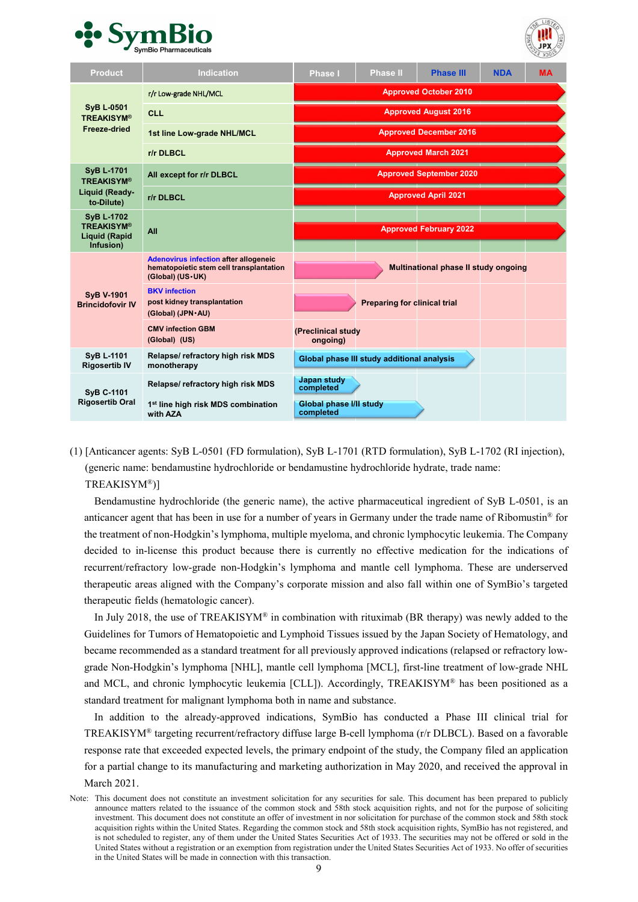



| <b>Product</b>                                                              | <b>Indication</b>                                                                                             | <b>Phase I</b>                       | Phase II                                   | <b>Phase III</b>                     | <b>NDA</b> | <b>MA</b> |
|-----------------------------------------------------------------------------|---------------------------------------------------------------------------------------------------------------|--------------------------------------|--------------------------------------------|--------------------------------------|------------|-----------|
|                                                                             | r/r Low-grade NHL/MCL                                                                                         | <b>Approved October 2010</b>         |                                            |                                      |            |           |
| <b>SyB L-0501</b><br><b>TREAKISYM®</b>                                      | <b>CLL</b>                                                                                                    | <b>Approved August 2016</b>          |                                            |                                      |            |           |
| <b>Freeze-dried</b>                                                         | 1st line Low-grade NHL/MCL                                                                                    | <b>Approved December 2016</b>        |                                            |                                      |            |           |
|                                                                             | r/r DLBCL                                                                                                     | <b>Approved March 2021</b>           |                                            |                                      |            |           |
| <b>SyB L-1701</b><br><b>TREAKISYM®</b>                                      | All except for r/r DLBCL                                                                                      |                                      |                                            | <b>Approved September 2020</b>       |            |           |
| Liquid (Ready-<br>to-Dilute)                                                | r/r DLBCL                                                                                                     |                                      |                                            | <b>Approved April 2021</b>           |            |           |
| <b>SyB L-1702</b><br><b>TREAKISYM®</b><br><b>Liquid (Rapid</b><br>Infusion) | All                                                                                                           |                                      |                                            | <b>Approved February 2022</b>        |            |           |
|                                                                             | <b>Adenovirus infection after allogeneic</b><br>hematopoietic stem cell transplantation<br>(Global) (US · UK) |                                      |                                            | Multinational phase II study ongoing |            |           |
| <b>SyB V-1901</b><br><b>Brincidofovir IV</b>                                | <b>BKV</b> infection<br>post kidney transplantation<br>(Global) (JPN · AU)                                    |                                      | <b>Preparing for clinical trial</b>        |                                      |            |           |
|                                                                             | <b>CMV infection GBM</b><br>(Global) (US)                                                                     | (Preclinical study<br>ongoing)       |                                            |                                      |            |           |
| <b>SyB L-1101</b><br><b>Rigosertib IV</b>                                   | Relapse/ refractory high risk MDS<br>monotherapy                                                              |                                      | Global phase III study additional analysis |                                      |            |           |
| <b>SyB C-1101</b>                                                           | Relapse/ refractory high risk MDS                                                                             | <b>Japan study</b><br>completed      |                                            |                                      |            |           |
| <b>Rigosertib Oral</b>                                                      | 1 <sup>st</sup> line high risk MDS combination<br>with AZA                                                    | Global phase I/II study<br>completed |                                            |                                      |            |           |

(1) [Anticancer agents: SyB L-0501 (FD formulation), SyB L-1701 (RTD formulation), SyB L-1702 (RI injection), (generic name: bendamustine hydrochloride or bendamustine hydrochloride hydrate, trade name:

TREAKISYM®)]

Bendamustine hydrochloride (the generic name), the active pharmaceutical ingredient of SyB L-0501, is an anticancer agent that has been in use for a number of years in Germany under the trade name of Ribomustin® for the treatment of non-Hodgkin's lymphoma, multiple myeloma, and chronic lymphocytic leukemia. The Company decided to in-license this product because there is currently no effective medication for the indications of recurrent/refractory low-grade non-Hodgkin's lymphoma and mantle cell lymphoma. These are underserved therapeutic areas aligned with the Company's corporate mission and also fall within one of SymBio's targeted therapeutic fields (hematologic cancer).

In July 2018, the use of TREAKISYM® in combination with rituximab (BR therapy) was newly added to the Guidelines for Tumors of Hematopoietic and Lymphoid Tissues issued by the Japan Society of Hematology, and became recommended as a standard treatment for all previously approved indications (relapsed or refractory lowgrade Non-Hodgkin's lymphoma [NHL], mantle cell lymphoma [MCL], first-line treatment of low-grade NHL and MCL, and chronic lymphocytic leukemia [CLL]). Accordingly, TREAKISYM® has been positioned as a standard treatment for malignant lymphoma both in name and substance.

In addition to the already-approved indications, SymBio has conducted a Phase III clinical trial for TREAKISYM® targeting recurrent/refractory diffuse large B-cell lymphoma (r/r DLBCL). Based on a favorable response rate that exceeded expected levels, the primary endpoint of the study, the Company filed an application for a partial change to its manufacturing and marketing authorization in May 2020, and received the approval in March 2021.

Note: This document does not constitute an investment solicitation for any securities for sale. This document has been prepared to publicly announce matters related to the issuance of the common stock and 58th stock acquisition rights, and not for the purpose of soliciting investment. This document does not constitute an offer of investment in nor solicitation for purchase of the common stock and 58th stock acquisition rights within the United States. Regarding the common stock and 58th stock acquisition rights, SymBio has not registered, and is not scheduled to register, any of them under the United States Securities Act of 1933. The securities may not be offered or sold in the United States without a registration or an exemption from registration under the United States Securities Act of 1933. No offer of securities in the United States will be made in connection with this transaction.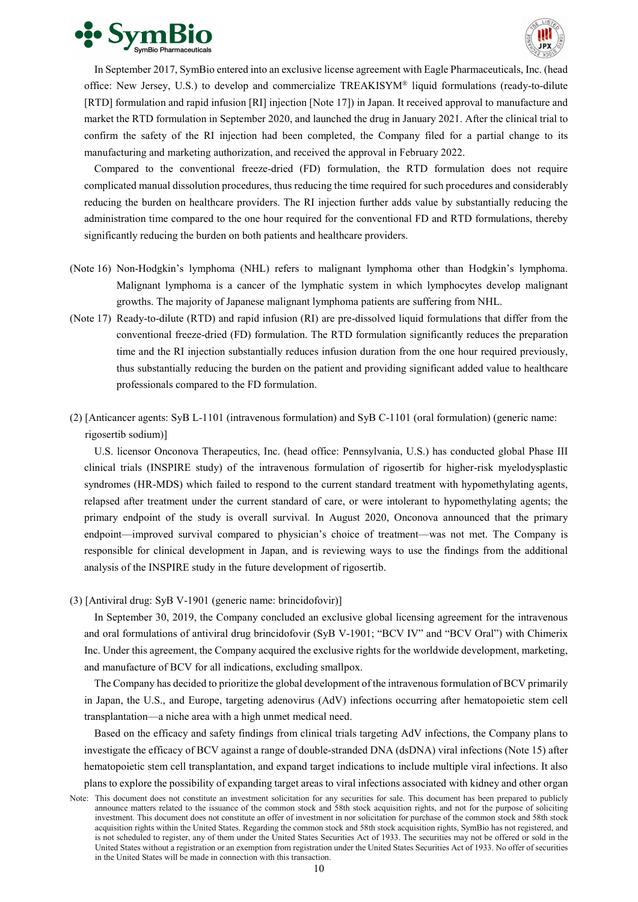



In September 2017, SymBio entered into an exclusive license agreement with Eagle Pharmaceuticals, Inc. (head office: New Jersey, U.S.) to develop and commercialize TREAKISYM® liquid formulations (ready-to-dilute [RTD] formulation and rapid infusion [RI] injection [Note 17]) in Japan. It received approval to manufacture and market the RTD formulation in September 2020, and launched the drug in January 2021. After the clinical trial to confirm the safety of the RI injection had been completed, the Company filed for a partial change to its manufacturing and marketing authorization, and received the approval in February 2022.

Compared to the conventional freeze-dried (FD) formulation, the RTD formulation does not require complicated manual dissolution procedures, thus reducing the time required for such procedures and considerably reducing the burden on healthcare providers. The RI injection further adds value by substantially reducing the administration time compared to the one hour required for the conventional FD and RTD formulations, thereby significantly reducing the burden on both patients and healthcare providers.

- (Note 16) Non-Hodgkin's lymphoma (NHL) refers to malignant lymphoma other than Hodgkin's lymphoma. Malignant lymphoma is a cancer of the lymphatic system in which lymphocytes develop malignant growths. The majority of Japanese malignant lymphoma patients are suffering from NHL.
- (Note 17) Ready-to-dilute (RTD) and rapid infusion (RI) are pre-dissolved liquid formulations that differ from the conventional freeze-dried (FD) formulation. The RTD formulation significantly reduces the preparation time and the RI injection substantially reduces infusion duration from the one hour required previously, thus substantially reducing the burden on the patient and providing significant added value to healthcare professionals compared to the FD formulation.
- (2) [Anticancer agents: SyB L-1101 (intravenous formulation) and SyB C-1101 (oral formulation) (generic name: rigosertib sodium)]

U.S. licensor Onconova Therapeutics, Inc. (head office: Pennsylvania, U.S.) has conducted global Phase III clinical trials (INSPIRE study) of the intravenous formulation of rigosertib for higher-risk myelodysplastic syndromes (HR-MDS) which failed to respond to the current standard treatment with hypomethylating agents, relapsed after treatment under the current standard of care, or were intolerant to hypomethylating agents; the primary endpoint of the study is overall survival. In August 2020, Onconova announced that the primary endpoint—improved survival compared to physician's choice of treatment—was not met. The Company is responsible for clinical development in Japan, and is reviewing ways to use the findings from the additional analysis of the INSPIRE study in the future development of rigosertib.

(3) [Antiviral drug: SyB V-1901 (generic name: brincidofovir)]

In September 30, 2019, the Company concluded an exclusive global licensing agreement for the intravenous and oral formulations of antiviral drug brincidofovir (SyB V-1901; "BCV IV" and "BCV Oral") with Chimerix Inc. Under this agreement, the Company acquired the exclusive rights for the worldwide development, marketing, and manufacture of BCV for all indications, excluding smallpox.

The Company has decided to prioritize the global development of the intravenous formulation of BCV primarily in Japan, the U.S., and Europe, targeting adenovirus (AdV) infections occurring after hematopoietic stem cell transplantation—a niche area with a high unmet medical need.

Based on the efficacy and safety findings from clinical trials targeting AdV infections, the Company plans to investigate the efficacy of BCV against a range of double-stranded DNA (dsDNA) viral infections (Note 15) after hematopoietic stem cell transplantation, and expand target indications to include multiple viral infections. It also plans to explore the possibility of expanding target areas to viral infections associated with kidney and other organ

Note: This document does not constitute an investment solicitation for any securities for sale. This document has been prepared to publicly announce matters related to the issuance of the common stock and 58th stock acquisition rights, and not for the purpose of soliciting investment. This document does not constitute an offer of investment in nor solicitation for purchase of the common stock and 58th stock acquisition rights within the United States. Regarding the common stock and 58th stock acquisition rights, SymBio has not registered, and is not scheduled to register, any of them under the United States Securities Act of 1933. The securities may not be offered or sold in the United States without a registration or an exemption from registration under the United States Securities Act of 1933. No offer of securities in the United States will be made in connection with this transaction.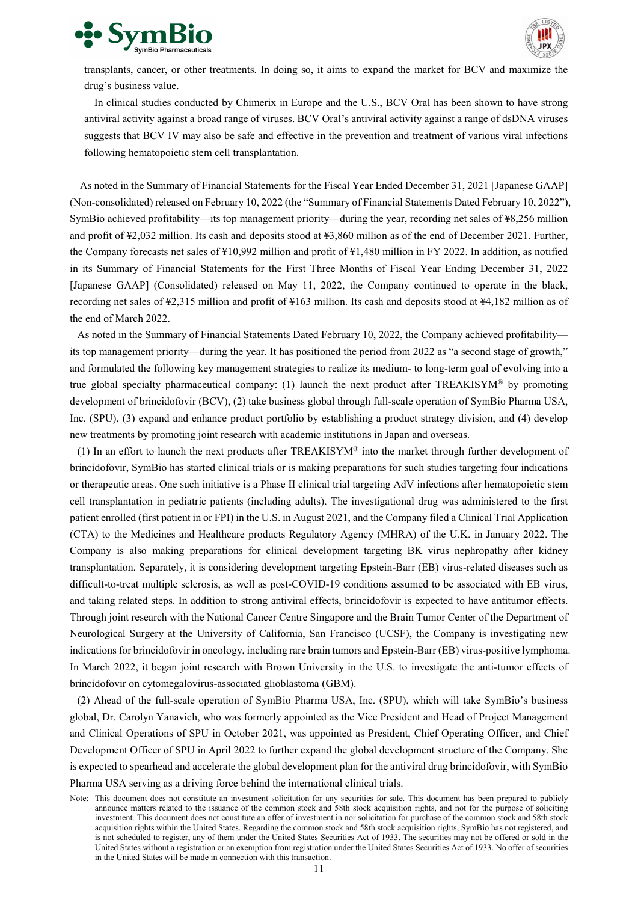



transplants, cancer, or other treatments. In doing so, it aims to expand the market for BCV and maximize the drug's business value.

In clinical studies conducted by Chimerix in Europe and the U.S., BCV Oral has been shown to have strong antiviral activity against a broad range of viruses. BCV Oral's antiviral activity against a range of dsDNA viruses suggests that BCV IV may also be safe and effective in the prevention and treatment of various viral infections following hematopoietic stem cell transplantation.

As noted in the Summary of Financial Statements for the Fiscal Year Ended December 31, 2021 [Japanese GAAP] (Non-consolidated) released on February 10, 2022 (the "Summary of Financial Statements Dated February 10, 2022"), SymBio achieved profitability—its top management priority—during the year, recording net sales of ¥8,256 million and profit of ¥2,032 million. Its cash and deposits stood at ¥3,860 million as of the end of December 2021. Further, the Company forecasts net sales of ¥10,992 million and profit of ¥1,480 million in FY 2022. In addition, as notified in its Summary of Financial Statements for the First Three Months of Fiscal Year Ending December 31, 2022 [Japanese GAAP] (Consolidated) released on May 11, 2022, the Company continued to operate in the black, recording net sales of ¥2,315 million and profit of ¥163 million. Its cash and deposits stood at ¥4,182 million as of the end of March 2022.

As noted in the Summary of Financial Statements Dated February 10, 2022, the Company achieved profitability its top management priority—during the year. It has positioned the period from 2022 as "a second stage of growth," and formulated the following key management strategies to realize its medium- to long-term goal of evolving into a true global specialty pharmaceutical company: (1) launch the next product after TREAKISYM<sup>®</sup> by promoting development of brincidofovir (BCV), (2) take business global through full-scale operation of SymBio Pharma USA, Inc. (SPU), (3) expand and enhance product portfolio by establishing a product strategy division, and (4) develop new treatments by promoting joint research with academic institutions in Japan and overseas.

(1) In an effort to launch the next products after TREAKISYM® into the market through further development of brincidofovir, SymBio has started clinical trials or is making preparations for such studies targeting four indications or therapeutic areas. One such initiative is a Phase II clinical trial targeting AdV infections after hematopoietic stem cell transplantation in pediatric patients (including adults). The investigational drug was administered to the first patient enrolled (first patient in or FPI) in the U.S. in August 2021, and the Company filed a Clinical Trial Application (CTA) to the Medicines and Healthcare products Regulatory Agency (MHRA) of the U.K. in January 2022. The Company is also making preparations for clinical development targeting BK virus nephropathy after kidney transplantation. Separately, it is considering development targeting Epstein-Barr (EB) virus-related diseases such as difficult-to-treat multiple sclerosis, as well as post-COVID-19 conditions assumed to be associated with EB virus, and taking related steps. In addition to strong antiviral effects, brincidofovir is expected to have antitumor effects. Through joint research with the National Cancer Centre Singapore and the Brain Tumor Center of the Department of Neurological Surgery at the University of California, San Francisco (UCSF), the Company is investigating new indications for brincidofovir in oncology, including rare brain tumors and Epstein-Barr (EB) virus-positive lymphoma. In March 2022, it began joint research with Brown University in the U.S. to investigate the anti-tumor effects of brincidofovir on cytomegalovirus-associated glioblastoma (GBM).

(2) Ahead of the full-scale operation of SymBio Pharma USA, Inc. (SPU), which will take SymBio's business global, Dr. Carolyn Yanavich, who was formerly appointed as the Vice President and Head of Project Management and Clinical Operations of SPU in October 2021, was appointed as President, Chief Operating Officer, and Chief Development Officer of SPU in April 2022 to further expand the global development structure of the Company. She is expected to spearhead and accelerate the global development plan for the antiviral drug brincidofovir, with SymBio Pharma USA serving as a driving force behind the international clinical trials.

Note: This document does not constitute an investment solicitation for any securities for sale. This document has been prepared to publicly announce matters related to the issuance of the common stock and 58th stock acquisition rights, and not for the purpose of soliciting investment. This document does not constitute an offer of investment in nor solicitation for purchase of the common stock and 58th stock acquisition rights within the United States. Regarding the common stock and 58th stock acquisition rights, SymBio has not registered, and is not scheduled to register, any of them under the United States Securities Act of 1933. The securities may not be offered or sold in the United States without a registration or an exemption from registration under the United States Securities Act of 1933. No offer of securities in the United States will be made in connection with this transaction.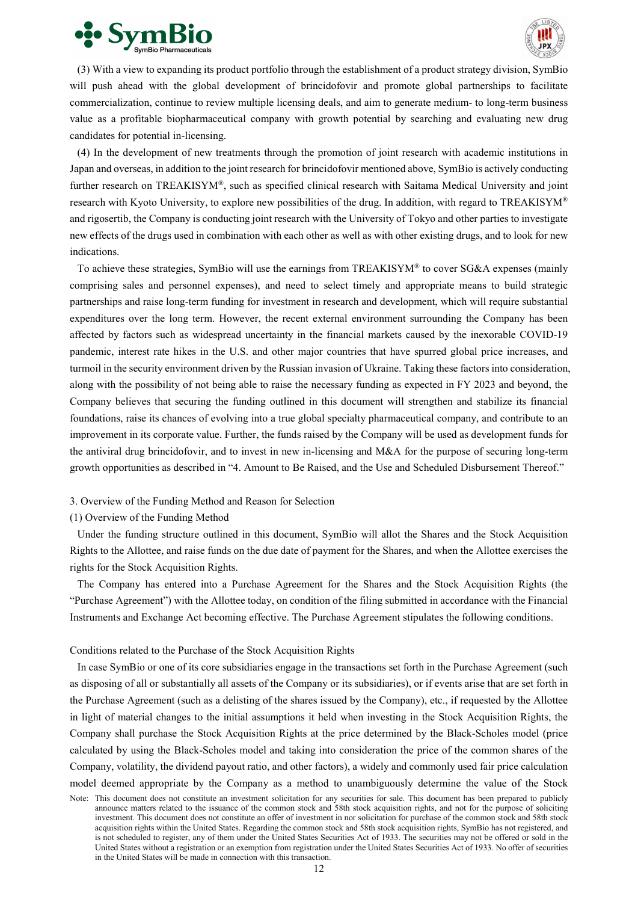



(3) With a view to expanding its product portfolio through the establishment of a product strategy division, SymBio will push ahead with the global development of brincidofovir and promote global partnerships to facilitate commercialization, continue to review multiple licensing deals, and aim to generate medium- to long-term business value as a profitable biopharmaceutical company with growth potential by searching and evaluating new drug candidates for potential in-licensing.

(4) In the development of new treatments through the promotion of joint research with academic institutions in Japan and overseas, in addition to the joint research for brincidofovir mentioned above, SymBio is actively conducting further research on TREAKISYM®, such as specified clinical research with Saitama Medical University and joint research with Kyoto University, to explore new possibilities of the drug. In addition, with regard to TREAKISYM® and rigosertib, the Company is conducting joint research with the University of Tokyo and other parties to investigate new effects of the drugs used in combination with each other as well as with other existing drugs, and to look for new indications.

To achieve these strategies, SymBio will use the earnings from TREAKISYM® to cover SG&A expenses (mainly comprising sales and personnel expenses), and need to select timely and appropriate means to build strategic partnerships and raise long-term funding for investment in research and development, which will require substantial expenditures over the long term. However, the recent external environment surrounding the Company has been affected by factors such as widespread uncertainty in the financial markets caused by the inexorable COVID-19 pandemic, interest rate hikes in the U.S. and other major countries that have spurred global price increases, and turmoil in the security environment driven by the Russian invasion of Ukraine. Taking these factors into consideration, along with the possibility of not being able to raise the necessary funding as expected in FY 2023 and beyond, the Company believes that securing the funding outlined in this document will strengthen and stabilize its financial foundations, raise its chances of evolving into a true global specialty pharmaceutical company, and contribute to an improvement in its corporate value. Further, the funds raised by the Company will be used as development funds for the antiviral drug brincidofovir, and to invest in new in-licensing and M&A for the purpose of securing long-term growth opportunities as described in "4. Amount to Be Raised, and the Use and Scheduled Disbursement Thereof."

3. Overview of the Funding Method and Reason for Selection

#### (1) Overview of the Funding Method

Under the funding structure outlined in this document, SymBio will allot the Shares and the Stock Acquisition Rights to the Allottee, and raise funds on the due date of payment for the Shares, and when the Allottee exercises the rights for the Stock Acquisition Rights.

The Company has entered into a Purchase Agreement for the Shares and the Stock Acquisition Rights (the "Purchase Agreement") with the Allottee today, on condition of the filing submitted in accordance with the Financial Instruments and Exchange Act becoming effective. The Purchase Agreement stipulates the following conditions.

# Conditions related to the Purchase of the Stock Acquisition Rights

In case SymBio or one of its core subsidiaries engage in the transactions set forth in the Purchase Agreement (such as disposing of all or substantially all assets of the Company or its subsidiaries), or if events arise that are set forth in the Purchase Agreement (such as a delisting of the shares issued by the Company), etc., if requested by the Allottee in light of material changes to the initial assumptions it held when investing in the Stock Acquisition Rights, the Company shall purchase the Stock Acquisition Rights at the price determined by the Black-Scholes model (price calculated by using the Black-Scholes model and taking into consideration the price of the common shares of the Company, volatility, the dividend payout ratio, and other factors), a widely and commonly used fair price calculation model deemed appropriate by the Company as a method to unambiguously determine the value of the Stock

Note: This document does not constitute an investment solicitation for any securities for sale. This document has been prepared to publicly announce matters related to the issuance of the common stock and 58th stock acquisition rights, and not for the purpose of soliciting investment. This document does not constitute an offer of investment in nor solicitation for purchase of the common stock and 58th stock acquisition rights within the United States. Regarding the common stock and 58th stock acquisition rights, SymBio has not registered, and is not scheduled to register, any of them under the United States Securities Act of 1933. The securities may not be offered or sold in the United States without a registration or an exemption from registration under the United States Securities Act of 1933. No offer of securities in the United States will be made in connection with this transaction.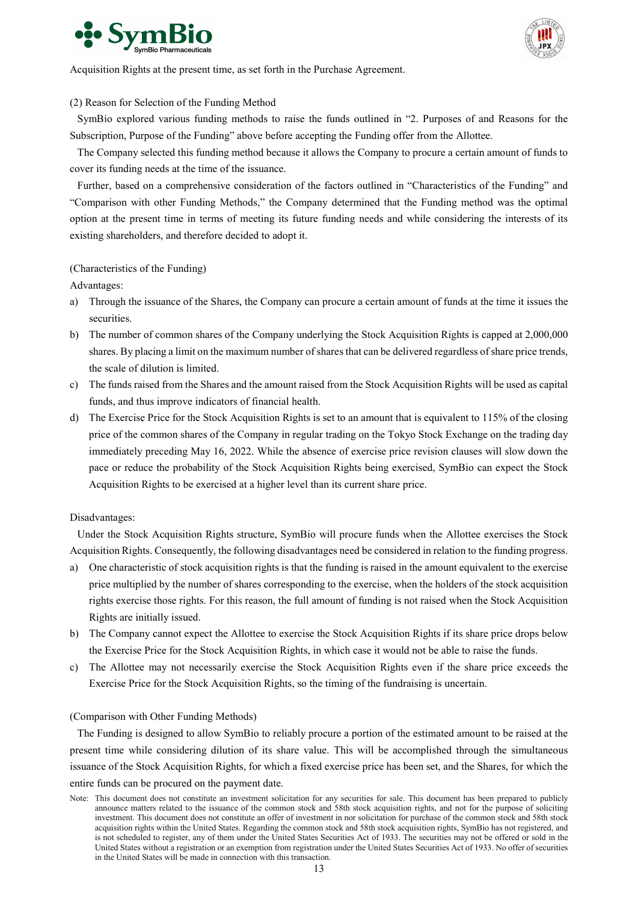



Acquisition Rights at the present time, as set forth in the Purchase Agreement.

# (2) Reason for Selection of the Funding Method

SymBio explored various funding methods to raise the funds outlined in "2. Purposes of and Reasons for the Subscription, Purpose of the Funding" above before accepting the Funding offer from the Allottee.

The Company selected this funding method because it allows the Company to procure a certain amount of funds to cover its funding needs at the time of the issuance.

Further, based on a comprehensive consideration of the factors outlined in "Characteristics of the Funding" and "Comparison with other Funding Methods," the Company determined that the Funding method was the optimal option at the present time in terms of meeting its future funding needs and while considering the interests of its existing shareholders, and therefore decided to adopt it.

# (Characteristics of the Funding)

Advantages:

- a) Through the issuance of the Shares, the Company can procure a certain amount of funds at the time it issues the securities.
- b) The number of common shares of the Company underlying the Stock Acquisition Rights is capped at 2,000,000 shares. By placing a limit on the maximum number of shares that can be delivered regardless of share price trends, the scale of dilution is limited.
- c) The funds raised from the Shares and the amount raised from the Stock Acquisition Rights will be used as capital funds, and thus improve indicators of financial health.
- d) The Exercise Price for the Stock Acquisition Rights is set to an amount that is equivalent to 115% of the closing price of the common shares of the Company in regular trading on the Tokyo Stock Exchange on the trading day immediately preceding May 16, 2022. While the absence of exercise price revision clauses will slow down the pace or reduce the probability of the Stock Acquisition Rights being exercised, SymBio can expect the Stock Acquisition Rights to be exercised at a higher level than its current share price.

# Disadvantages:

Under the Stock Acquisition Rights structure, SymBio will procure funds when the Allottee exercises the Stock Acquisition Rights. Consequently, the following disadvantages need be considered in relation to the funding progress.

- a) One characteristic of stock acquisition rights is that the funding is raised in the amount equivalent to the exercise price multiplied by the number of shares corresponding to the exercise, when the holders of the stock acquisition rights exercise those rights. For this reason, the full amount of funding is not raised when the Stock Acquisition Rights are initially issued.
- b) The Company cannot expect the Allottee to exercise the Stock Acquisition Rights if its share price drops below the Exercise Price for the Stock Acquisition Rights, in which case it would not be able to raise the funds.
- c) The Allottee may not necessarily exercise the Stock Acquisition Rights even if the share price exceeds the Exercise Price for the Stock Acquisition Rights, so the timing of the fundraising is uncertain.

#### (Comparison with Other Funding Methods)

The Funding is designed to allow SymBio to reliably procure a portion of the estimated amount to be raised at the present time while considering dilution of its share value. This will be accomplished through the simultaneous issuance of the Stock Acquisition Rights, for which a fixed exercise price has been set, and the Shares, for which the entire funds can be procured on the payment date.

Note: This document does not constitute an investment solicitation for any securities for sale. This document has been prepared to publicly announce matters related to the issuance of the common stock and 58th stock acquisition rights, and not for the purpose of soliciting investment. This document does not constitute an offer of investment in nor solicitation for purchase of the common stock and 58th stock acquisition rights within the United States. Regarding the common stock and 58th stock acquisition rights, SymBio has not registered, and is not scheduled to register, any of them under the United States Securities Act of 1933. The securities may not be offered or sold in the United States without a registration or an exemption from registration under the United States Securities Act of 1933. No offer of securities in the United States will be made in connection with this transaction.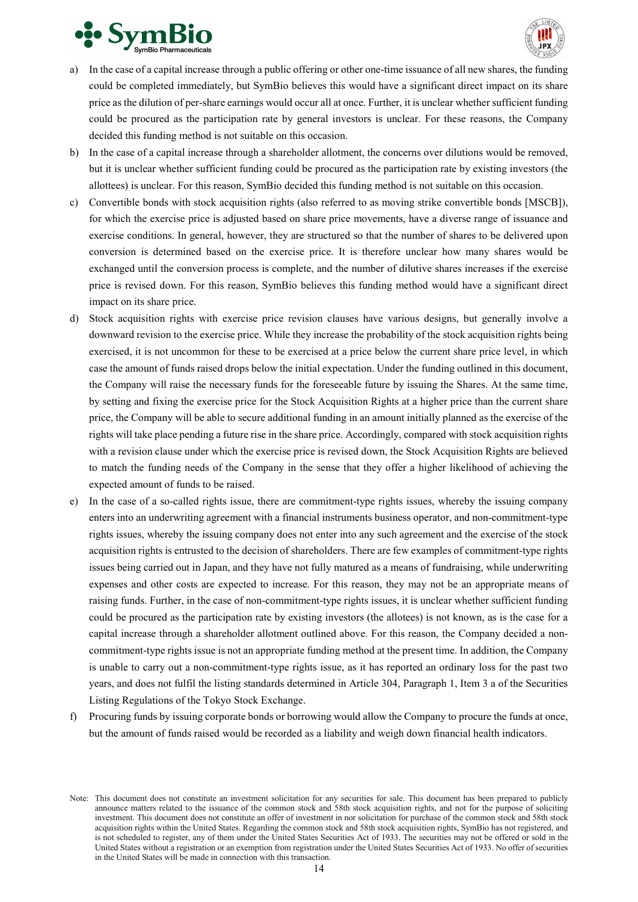



- a) In the case of a capital increase through a public offering or other one-time issuance of all new shares, the funding could be completed immediately, but SymBio believes this would have a significant direct impact on its share price as the dilution of per-share earnings would occur all at once. Further, it is unclear whether sufficient funding could be procured as the participation rate by general investors is unclear. For these reasons, the Company decided this funding method is not suitable on this occasion.
- b) In the case of a capital increase through a shareholder allotment, the concerns over dilutions would be removed, but it is unclear whether sufficient funding could be procured as the participation rate by existing investors (the allottees) is unclear. For this reason, SymBio decided this funding method is not suitable on this occasion.
- c) Convertible bonds with stock acquisition rights (also referred to as moving strike convertible bonds [MSCB]), for which the exercise price is adjusted based on share price movements, have a diverse range of issuance and exercise conditions. In general, however, they are structured so that the number of shares to be delivered upon conversion is determined based on the exercise price. It is therefore unclear how many shares would be exchanged until the conversion process is complete, and the number of dilutive shares increases if the exercise price is revised down. For this reason, SymBio believes this funding method would have a significant direct impact on its share price.
- d) Stock acquisition rights with exercise price revision clauses have various designs, but generally involve a downward revision to the exercise price. While they increase the probability of the stock acquisition rights being exercised, it is not uncommon for these to be exercised at a price below the current share price level, in which case the amount of funds raised drops below the initial expectation. Under the funding outlined in this document, the Company will raise the necessary funds for the foreseeable future by issuing the Shares. At the same time, by setting and fixing the exercise price for the Stock Acquisition Rights at a higher price than the current share price, the Company will be able to secure additional funding in an amount initially planned as the exercise of the rights will take place pending a future rise in the share price. Accordingly, compared with stock acquisition rights with a revision clause under which the exercise price is revised down, the Stock Acquisition Rights are believed to match the funding needs of the Company in the sense that they offer a higher likelihood of achieving the expected amount of funds to be raised.
- e) In the case of a so-called rights issue, there are commitment-type rights issues, whereby the issuing company enters into an underwriting agreement with a financial instruments business operator, and non-commitment-type rights issues, whereby the issuing company does not enter into any such agreement and the exercise of the stock acquisition rights is entrusted to the decision of shareholders. There are few examples of commitment-type rights issues being carried out in Japan, and they have not fully matured as a means of fundraising, while underwriting expenses and other costs are expected to increase. For this reason, they may not be an appropriate means of raising funds. Further, in the case of non-commitment-type rights issues, it is unclear whether sufficient funding could be procured as the participation rate by existing investors (the allotees) is not known, as is the case for a capital increase through a shareholder allotment outlined above. For this reason, the Company decided a noncommitment-type rights issue is not an appropriate funding method at the present time. In addition, the Company is unable to carry out a non-commitment-type rights issue, as it has reported an ordinary loss for the past two years, and does not fulfil the listing standards determined in Article 304, Paragraph 1, Item 3 a of the Securities Listing Regulations of the Tokyo Stock Exchange.
- f) Procuring funds by issuing corporate bonds or borrowing would allow the Company to procure the funds at once, but the amount of funds raised would be recorded as a liability and weigh down financial health indicators.

Note: This document does not constitute an investment solicitation for any securities for sale. This document has been prepared to publicly announce matters related to the issuance of the common stock and 58th stock acquisition rights, and not for the purpose of soliciting investment. This document does not constitute an offer of investment in nor solicitation for purchase of the common stock and 58th stock acquisition rights within the United States. Regarding the common stock and 58th stock acquisition rights, SymBio has not registered, and is not scheduled to register, any of them under the United States Securities Act of 1933. The securities may not be offered or sold in the United States without a registration or an exemption from registration under the United States Securities Act of 1933. No offer of securities in the United States will be made in connection with this transaction.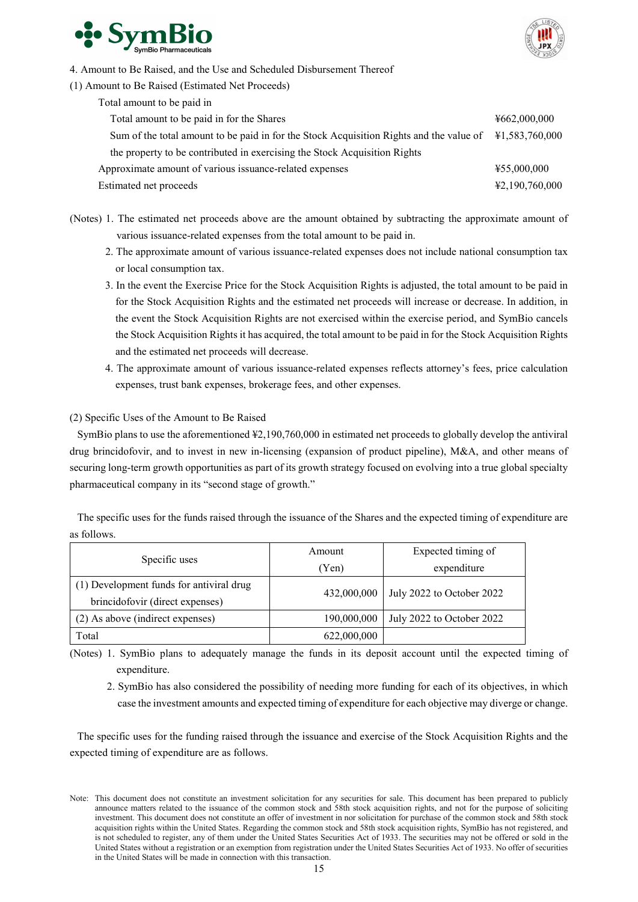



- 4. Amount to Be Raised, and the Use and Scheduled Disbursement Thereof
- (1) Amount to Be Raised (Estimated Net Proceeds)

| Total amount to be paid in                                                              |                |
|-----------------------------------------------------------------------------------------|----------------|
| Total amount to be paid in for the Shares                                               | 4662,000,000   |
| Sum of the total amount to be paid in for the Stock Acquisition Rights and the value of | ¥1,583,760,000 |
| the property to be contributed in exercising the Stock Acquisition Rights               |                |
| Approximate amount of various issuance-related expenses                                 | ¥55,000,000    |
| Estimated net proceeds                                                                  | ¥2,190,760,000 |

- (Notes) 1. The estimated net proceeds above are the amount obtained by subtracting the approximate amount of various issuance-related expenses from the total amount to be paid in.
	- 2. The approximate amount of various issuance-related expenses does not include national consumption tax or local consumption tax.
	- 3. In the event the Exercise Price for the Stock Acquisition Rights is adjusted, the total amount to be paid in for the Stock Acquisition Rights and the estimated net proceeds will increase or decrease. In addition, in the event the Stock Acquisition Rights are not exercised within the exercise period, and SymBio cancels the Stock Acquisition Rights it has acquired, the total amount to be paid in for the Stock Acquisition Rights and the estimated net proceeds will decrease.
	- 4. The approximate amount of various issuance-related expenses reflects attorney's fees, price calculation expenses, trust bank expenses, brokerage fees, and other expenses.

# (2) Specific Uses of the Amount to Be Raised

SymBio plans to use the aforementioned ¥2,190,760,000 in estimated net proceeds to globally develop the antiviral drug brincidofovir, and to invest in new in-licensing (expansion of product pipeline), M&A, and other means of securing long-term growth opportunities as part of its growth strategy focused on evolving into a true global specialty pharmaceutical company in its "second stage of growth."

The specific uses for the funds raised through the issuance of the Shares and the expected timing of expenditure are as follows.

|                                          | Amount      | Expected timing of        |  |
|------------------------------------------|-------------|---------------------------|--|
| Specific uses                            | (Yen)       | expenditure               |  |
| (1) Development funds for antiviral drug |             | July 2022 to October 2022 |  |
| brincidofovir (direct expenses)          | 432,000,000 |                           |  |
| (2) As above (indirect expenses)         | 190,000,000 | July 2022 to October 2022 |  |
| Total                                    | 622,000,000 |                           |  |

(Notes) 1. SymBio plans to adequately manage the funds in its deposit account until the expected timing of expenditure.

2. SymBio has also considered the possibility of needing more funding for each of its objectives, in which case the investment amounts and expected timing of expenditure for each objective may diverge or change.

The specific uses for the funding raised through the issuance and exercise of the Stock Acquisition Rights and the expected timing of expenditure are as follows.

Note: This document does not constitute an investment solicitation for any securities for sale. This document has been prepared to publicly announce matters related to the issuance of the common stock and 58th stock acquisition rights, and not for the purpose of soliciting investment. This document does not constitute an offer of investment in nor solicitation for purchase of the common stock and 58th stock acquisition rights within the United States. Regarding the common stock and 58th stock acquisition rights, SymBio has not registered, and is not scheduled to register, any of them under the United States Securities Act of 1933. The securities may not be offered or sold in the United States without a registration or an exemption from registration under the United States Securities Act of 1933. No offer of securities in the United States will be made in connection with this transaction.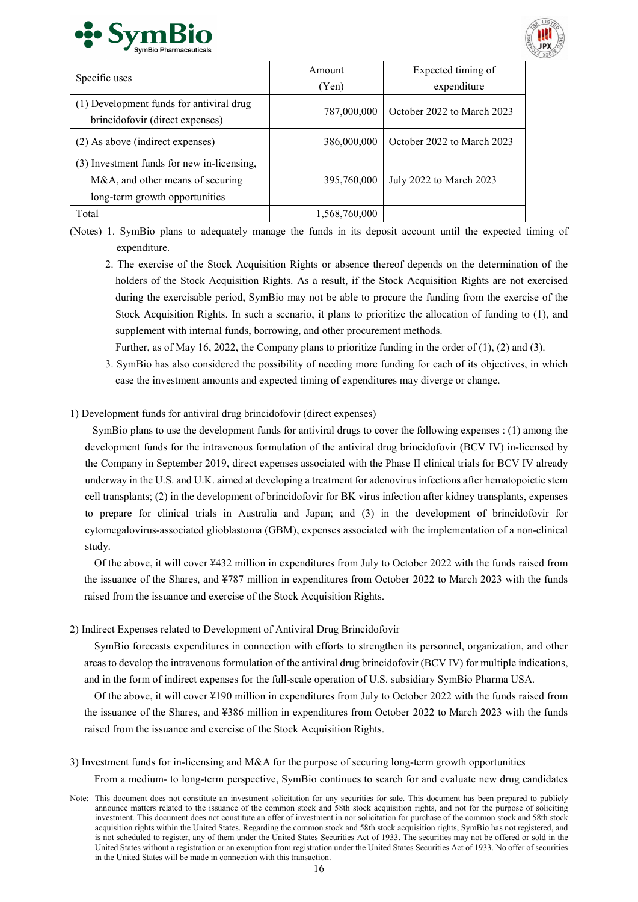



| Specific uses                              | Amount        | Expected timing of         |  |
|--------------------------------------------|---------------|----------------------------|--|
|                                            | (Yen)         | expenditure                |  |
| (1) Development funds for antiviral drug   | 787,000,000   | October 2022 to March 2023 |  |
| brincidofovir (direct expenses)            |               |                            |  |
| (2) As above (indirect expenses)           | 386,000,000   | October 2022 to March 2023 |  |
| (3) Investment funds for new in-licensing, |               |                            |  |
| M&A, and other means of securing           | 395,760,000   | July 2022 to March 2023    |  |
| long-term growth opportunities             |               |                            |  |
| Total                                      | 1,568,760,000 |                            |  |

(Notes) 1. SymBio plans to adequately manage the funds in its deposit account until the expected timing of expenditure.

2. The exercise of the Stock Acquisition Rights or absence thereof depends on the determination of the holders of the Stock Acquisition Rights. As a result, if the Stock Acquisition Rights are not exercised during the exercisable period, SymBio may not be able to procure the funding from the exercise of the Stock Acquisition Rights. In such a scenario, it plans to prioritize the allocation of funding to (1), and supplement with internal funds, borrowing, and other procurement methods.

Further, as of May 16, 2022, the Company plans to prioritize funding in the order of (1), (2) and (3).

3. SymBio has also considered the possibility of needing more funding for each of its objectives, in which case the investment amounts and expected timing of expenditures may diverge or change.

# 1) Development funds for antiviral drug brincidofovir (direct expenses)

SymBio plans to use the development funds for antiviral drugs to cover the following expenses : (1) among the development funds for the intravenous formulation of the antiviral drug brincidofovir (BCV IV) in-licensed by the Company in September 2019, direct expenses associated with the Phase II clinical trials for BCV IV already underway in the U.S. and U.K. aimed at developing a treatment for adenovirus infections after hematopoietic stem cell transplants; (2) in the development of brincidofovir for BK virus infection after kidney transplants, expenses to prepare for clinical trials in Australia and Japan; and (3) in the development of brincidofovir for cytomegalovirus-associated glioblastoma (GBM), expenses associated with the implementation of a non-clinical study.

Of the above, it will cover ¥432 million in expenditures from July to October 2022 with the funds raised from the issuance of the Shares, and ¥787 million in expenditures from October 2022 to March 2023 with the funds raised from the issuance and exercise of the Stock Acquisition Rights.

2) Indirect Expenses related to Development of Antiviral Drug Brincidofovir

SymBio forecasts expenditures in connection with efforts to strengthen its personnel, organization, and other areas to develop the intravenous formulation of the antiviral drug brincidofovir (BCV IV) for multiple indications, and in the form of indirect expenses for the full-scale operation of U.S. subsidiary SymBio Pharma USA.

Of the above, it will cover ¥190 million in expenditures from July to October 2022 with the funds raised from the issuance of the Shares, and ¥386 million in expenditures from October 2022 to March 2023 with the funds raised from the issuance and exercise of the Stock Acquisition Rights.

3) Investment funds for in-licensing and M&A for the purpose of securing long-term growth opportunities

From a medium- to long-term perspective, SymBio continues to search for and evaluate new drug candidates

Note: This document does not constitute an investment solicitation for any securities for sale. This document has been prepared to publicly announce matters related to the issuance of the common stock and 58th stock acquisition rights, and not for the purpose of soliciting investment. This document does not constitute an offer of investment in nor solicitation for purchase of the common stock and 58th stock acquisition rights within the United States. Regarding the common stock and 58th stock acquisition rights, SymBio has not registered, and is not scheduled to register, any of them under the United States Securities Act of 1933. The securities may not be offered or sold in the United States without a registration or an exemption from registration under the United States Securities Act of 1933. No offer of securities in the United States will be made in connection with this transaction.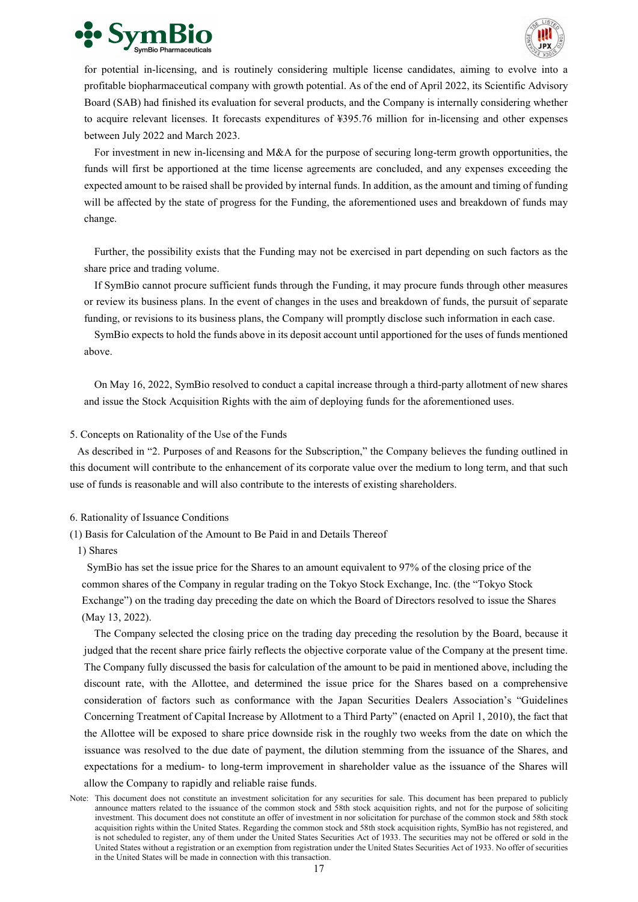



for potential in-licensing, and is routinely considering multiple license candidates, aiming to evolve into a profitable biopharmaceutical company with growth potential. As of the end of April 2022, its Scientific Advisory Board (SAB) had finished its evaluation for several products, and the Company is internally considering whether to acquire relevant licenses. It forecasts expenditures of ¥395.76 million for in-licensing and other expenses between July 2022 and March 2023.

For investment in new in-licensing and M&A for the purpose of securing long-term growth opportunities, the funds will first be apportioned at the time license agreements are concluded, and any expenses exceeding the expected amount to be raised shall be provided by internal funds. In addition, as the amount and timing of funding will be affected by the state of progress for the Funding, the aforementioned uses and breakdown of funds may change.

Further, the possibility exists that the Funding may not be exercised in part depending on such factors as the share price and trading volume.

If SymBio cannot procure sufficient funds through the Funding, it may procure funds through other measures or review its business plans. In the event of changes in the uses and breakdown of funds, the pursuit of separate funding, or revisions to its business plans, the Company will promptly disclose such information in each case.

SymBio expects to hold the funds above in its deposit account until apportioned for the uses of funds mentioned above.

On May 16, 2022, SymBio resolved to conduct a capital increase through a third-party allotment of new shares and issue the Stock Acquisition Rights with the aim of deploying funds for the aforementioned uses.

#### 5. Concepts on Rationality of the Use of the Funds

As described in "2. Purposes of and Reasons for the Subscription," the Company believes the funding outlined in this document will contribute to the enhancement of its corporate value over the medium to long term, and that such use of funds is reasonable and will also contribute to the interests of existing shareholders.

#### 6. Rationality of Issuance Conditions

- (1) Basis for Calculation of the Amount to Be Paid in and Details Thereof
	- 1) Shares

SymBio has set the issue price for the Shares to an amount equivalent to 97% of the closing price of the common shares of the Company in regular trading on the Tokyo Stock Exchange, Inc. (the "Tokyo Stock Exchange") on the trading day preceding the date on which the Board of Directors resolved to issue the Shares (May 13, 2022).

The Company selected the closing price on the trading day preceding the resolution by the Board, because it judged that the recent share price fairly reflects the objective corporate value of the Company at the present time. The Company fully discussed the basis for calculation of the amount to be paid in mentioned above, including the discount rate, with the Allottee, and determined the issue price for the Shares based on a comprehensive consideration of factors such as conformance with the Japan Securities Dealers Association's "Guidelines Concerning Treatment of Capital Increase by Allotment to a Third Party" (enacted on April 1, 2010), the fact that the Allottee will be exposed to share price downside risk in the roughly two weeks from the date on which the issuance was resolved to the due date of payment, the dilution stemming from the issuance of the Shares, and expectations for a medium- to long-term improvement in shareholder value as the issuance of the Shares will allow the Company to rapidly and reliable raise funds.

Note: This document does not constitute an investment solicitation for any securities for sale. This document has been prepared to publicly announce matters related to the issuance of the common stock and 58th stock acquisition rights, and not for the purpose of soliciting investment. This document does not constitute an offer of investment in nor solicitation for purchase of the common stock and 58th stock acquisition rights within the United States. Regarding the common stock and 58th stock acquisition rights, SymBio has not registered, and is not scheduled to register, any of them under the United States Securities Act of 1933. The securities may not be offered or sold in the United States without a registration or an exemption from registration under the United States Securities Act of 1933. No offer of securities in the United States will be made in connection with this transaction.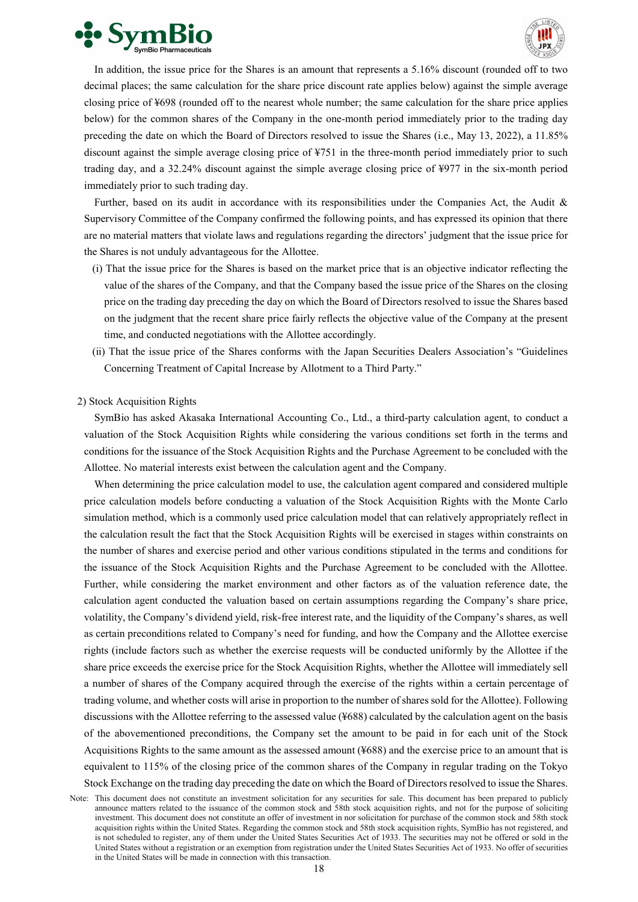



In addition, the issue price for the Shares is an amount that represents a 5.16% discount (rounded off to two decimal places; the same calculation for the share price discount rate applies below) against the simple average closing price of ¥698 (rounded off to the nearest whole number; the same calculation for the share price applies below) for the common shares of the Company in the one-month period immediately prior to the trading day preceding the date on which the Board of Directors resolved to issue the Shares (i.e., May 13, 2022), a 11.85% discount against the simple average closing price of ¥751 in the three-month period immediately prior to such trading day, and a 32.24% discount against the simple average closing price of ¥977 in the six-month period immediately prior to such trading day.

Further, based on its audit in accordance with its responsibilities under the Companies Act, the Audit & Supervisory Committee of the Company confirmed the following points, and has expressed its opinion that there are no material matters that violate laws and regulations regarding the directors' judgment that the issue price for the Shares is not unduly advantageous for the Allottee.

- (ⅰ) That the issue price for the Shares is based on the market price that is an objective indicator reflecting the value of the shares of the Company, and that the Company based the issue price of the Shares on the closing price on the trading day preceding the day on which the Board of Directors resolved to issue the Shares based on the judgment that the recent share price fairly reflects the objective value of the Company at the present time, and conducted negotiations with the Allottee accordingly.
- (ⅱ) That the issue price of the Shares conforms with the Japan Securities Dealers Association's "Guidelines Concerning Treatment of Capital Increase by Allotment to a Third Party."

#### 2) Stock Acquisition Rights

SymBio has asked Akasaka International Accounting Co., Ltd., a third-party calculation agent, to conduct a valuation of the Stock Acquisition Rights while considering the various conditions set forth in the terms and conditions for the issuance of the Stock Acquisition Rights and the Purchase Agreement to be concluded with the Allottee. No material interests exist between the calculation agent and the Company.

When determining the price calculation model to use, the calculation agent compared and considered multiple price calculation models before conducting a valuation of the Stock Acquisition Rights with the Monte Carlo simulation method, which is a commonly used price calculation model that can relatively appropriately reflect in the calculation result the fact that the Stock Acquisition Rights will be exercised in stages within constraints on the number of shares and exercise period and other various conditions stipulated in the terms and conditions for the issuance of the Stock Acquisition Rights and the Purchase Agreement to be concluded with the Allottee. Further, while considering the market environment and other factors as of the valuation reference date, the calculation agent conducted the valuation based on certain assumptions regarding the Company's share price, volatility, the Company's dividend yield, risk-free interest rate, and the liquidity of the Company's shares, as well as certain preconditions related to Company's need for funding, and how the Company and the Allottee exercise rights (include factors such as whether the exercise requests will be conducted uniformly by the Allottee if the share price exceeds the exercise price for the Stock Acquisition Rights, whether the Allottee will immediately sell a number of shares of the Company acquired through the exercise of the rights within a certain percentage of trading volume, and whether costs will arise in proportion to the number of shares sold for the Allottee). Following discussions with the Allottee referring to the assessed value (¥688) calculated by the calculation agent on the basis of the abovementioned preconditions, the Company set the amount to be paid in for each unit of the Stock Acquisitions Rights to the same amount as the assessed amount (¥688) and the exercise price to an amount that is equivalent to 115% of the closing price of the common shares of the Company in regular trading on the Tokyo Stock Exchange on the trading day preceding the date on which the Board of Directors resolved to issue the Shares.

Note: This document does not constitute an investment solicitation for any securities for sale. This document has been prepared to publicly announce matters related to the issuance of the common stock and 58th stock acquisition rights, and not for the purpose of soliciting investment. This document does not constitute an offer of investment in nor solicitation for purchase of the common stock and 58th stock acquisition rights within the United States. Regarding the common stock and 58th stock acquisition rights, SymBio has not registered, and is not scheduled to register, any of them under the United States Securities Act of 1933. The securities may not be offered or sold in the United States without a registration or an exemption from registration under the United States Securities Act of 1933. No offer of securities in the United States will be made in connection with this transaction.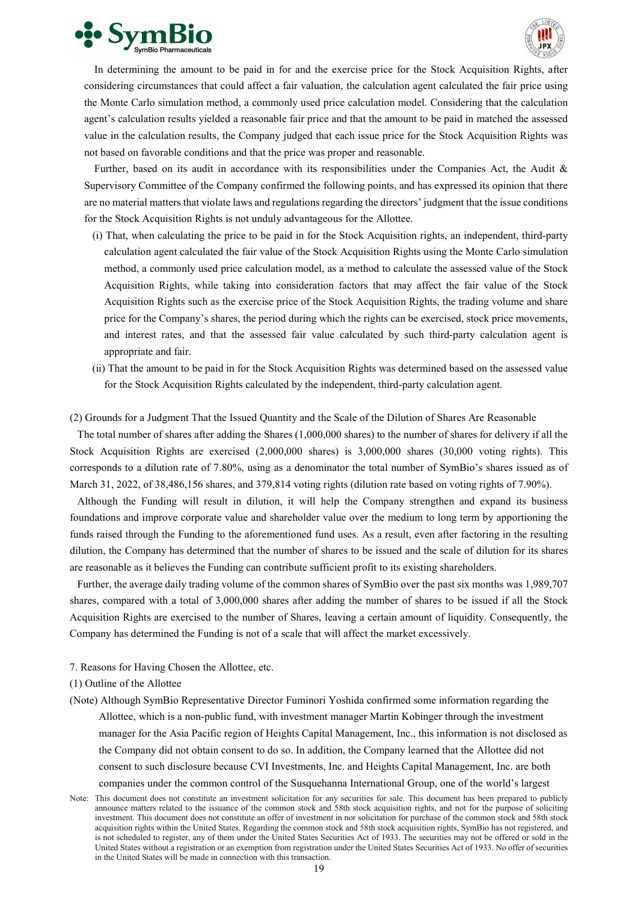



In determining the amount to be paid in for and the exercise price for the Stock Acquisition Rights, after considering circumstances that could affect a fair valuation, the calculation agent calculated the fair price using the Monte Carlo simulation method, a commonly used price calculation model. Considering that the calculation agent's calculation results yielded a reasonable fair price and that the amount to be paid in matched the assessed value in the calculation results, the Company judged that each issue price for the Stock Acquisition Rights was not based on favorable conditions and that the price was proper and reasonable.

Further, based on its audit in accordance with its responsibilities under the Companies Act, the Audit & Supervisory Committee of the Company confirmed the following points, and has expressed its opinion that there are no material matters that violate laws and regulations regarding the directors' judgment that the issue conditions for the Stock Acquisition Rights is not unduly advantageous for the Allottee.

- (ⅰ) That, when calculating the price to be paid in for the Stock Acquisition rights, an independent, third-party calculation agent calculated the fair value of the Stock Acquisition Rights using the Monte Carlo simulation method, a commonly used price calculation model, as a method to calculate the assessed value of the Stock Acquisition Rights, while taking into consideration factors that may affect the fair value of the Stock Acquisition Rights such as the exercise price of the Stock Acquisition Rights, the trading volume and share price for the Company's shares, the period during which the rights can be exercised, stock price movements, and interest rates, and that the assessed fair value calculated by such third-party calculation agent is appropriate and fair.
- (ⅱ) That the amount to be paid in for the Stock Acquisition Rights was determined based on the assessed value for the Stock Acquisition Rights calculated by the independent, third-party calculation agent.

# (2) Grounds for a Judgment That the Issued Quantity and the Scale of the Dilution of Shares Are Reasonable

The total number of shares after adding the Shares (1,000,000 shares) to the number of shares for delivery if all the Stock Acquisition Rights are exercised (2,000,000 shares) is 3,000,000 shares (30,000 voting rights). This corresponds to a dilution rate of 7.80%, using as a denominator the total number of SymBio's shares issued as of March 31, 2022, of 38,486,156 shares, and 379,814 voting rights (dilution rate based on voting rights of 7.90%).

Although the Funding will result in dilution, it will help the Company strengthen and expand its business foundations and improve corporate value and shareholder value over the medium to long term by apportioning the funds raised through the Funding to the aforementioned fund uses. As a result, even after factoring in the resulting dilution, the Company has determined that the number of shares to be issued and the scale of dilution for its shares are reasonable as it believes the Funding can contribute sufficient profit to its existing shareholders.

Further, the average daily trading volume of the common shares of SymBio over the past six months was 1,989,707 shares, compared with a total of 3,000,000 shares after adding the number of shares to be issued if all the Stock Acquisition Rights are exercised to the number of Shares, leaving a certain amount of liquidity. Consequently, the Company has determined the Funding is not of a scale that will affect the market excessively.

- 7. Reasons for Having Chosen the Allottee, etc.
- (1) Outline of the Allottee
- (Note) Although SymBio Representative Director Fuminori Yoshida confirmed some information regarding the Allottee, which is a non-public fund, with investment manager Martin Kobinger through the investment manager for the Asia Pacific region of Heights Capital Management, Inc., this information is not disclosed as the Company did not obtain consent to do so. In addition, the Company learned that the Allottee did not consent to such disclosure because CVI Investments, Inc. and Heights Capital Management, Inc. are both companies under the common control of the Susquehanna International Group, one of the world's largest
- Note: This document does not constitute an investment solicitation for any securities for sale. This document has been prepared to publicly announce matters related to the issuance of the common stock and 58th stock acquisition rights, and not for the purpose of soliciting investment. This document does not constitute an offer of investment in nor solicitation for purchase of the common stock and 58th stock acquisition rights within the United States. Regarding the common stock and 58th stock acquisition rights, SymBio has not registered, and is not scheduled to register, any of them under the United States Securities Act of 1933. The securities may not be offered or sold in the United States without a registration or an exemption from registration under the United States Securities Act of 1933. No offer of securities in the United States will be made in connection with this transaction.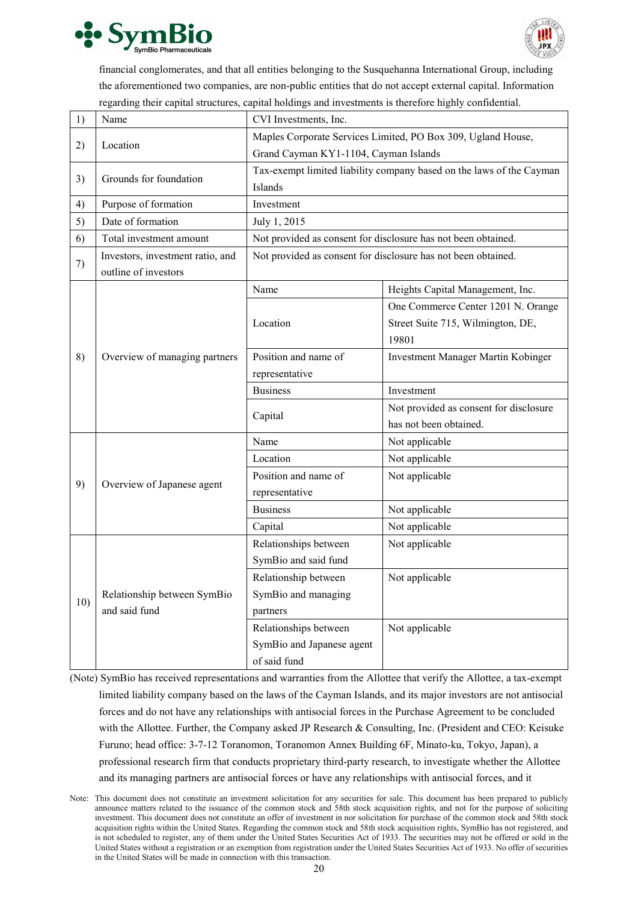



financial conglomerates, and that all entities belonging to the Susquehanna International Group, including the aforementioned two companies, are non-public entities that do not accept external capital. Information regarding their capital structures, capital holdings and investments is therefore highly confidential.

| 1)  | Name                             | CVI Investments, Inc.                                        |                                                                      |  |  |
|-----|----------------------------------|--------------------------------------------------------------|----------------------------------------------------------------------|--|--|
|     |                                  | Maples Corporate Services Limited, PO Box 309, Ugland House, |                                                                      |  |  |
| 2)  | Location                         | Grand Cayman KY1-1104, Cayman Islands                        |                                                                      |  |  |
| 3)  | Grounds for foundation           |                                                              | Tax-exempt limited liability company based on the laws of the Cayman |  |  |
|     |                                  | Islands                                                      |                                                                      |  |  |
| 4)  | Purpose of formation             | Investment                                                   |                                                                      |  |  |
| 5)  | Date of formation                | July 1, 2015                                                 |                                                                      |  |  |
| 6)  | Total investment amount          |                                                              | Not provided as consent for disclosure has not been obtained.        |  |  |
|     | Investors, investment ratio, and |                                                              | Not provided as consent for disclosure has not been obtained.        |  |  |
| 7)  | outline of investors             |                                                              |                                                                      |  |  |
|     |                                  | Name                                                         | Heights Capital Management, Inc.                                     |  |  |
|     |                                  |                                                              | One Commerce Center 1201 N. Orange                                   |  |  |
|     |                                  | Location                                                     | Street Suite 715, Wilmington, DE,                                    |  |  |
|     |                                  |                                                              | 19801                                                                |  |  |
| 8)  | Overview of managing partners    | Position and name of                                         | Investment Manager Martin Kobinger                                   |  |  |
|     |                                  | representative                                               |                                                                      |  |  |
|     |                                  | <b>Business</b>                                              | Investment                                                           |  |  |
|     |                                  | Capital                                                      | Not provided as consent for disclosure                               |  |  |
|     |                                  |                                                              | has not been obtained.                                               |  |  |
|     |                                  | Name                                                         | Not applicable                                                       |  |  |
|     |                                  | Location                                                     | Not applicable                                                       |  |  |
| 9)  | Overview of Japanese agent       | Position and name of                                         | Not applicable                                                       |  |  |
|     |                                  | representative                                               |                                                                      |  |  |
|     |                                  | <b>Business</b>                                              | Not applicable                                                       |  |  |
|     |                                  | Capital                                                      | Not applicable                                                       |  |  |
|     |                                  | Relationships between                                        | Not applicable                                                       |  |  |
|     |                                  | SymBio and said fund                                         |                                                                      |  |  |
| 10) |                                  | Relationship between                                         | Not applicable                                                       |  |  |
|     | Relationship between SymBio      | SymBio and managing                                          |                                                                      |  |  |
|     | and said fund                    | partners                                                     |                                                                      |  |  |
|     |                                  | Relationships between                                        | Not applicable                                                       |  |  |
|     |                                  | SymBio and Japanese agent                                    |                                                                      |  |  |
|     |                                  | of said fund                                                 |                                                                      |  |  |

(Note) SymBio has received representations and warranties from the Allottee that verify the Allottee, a tax-exempt limited liability company based on the laws of the Cayman Islands, and its major investors are not antisocial forces and do not have any relationships with antisocial forces in the Purchase Agreement to be concluded with the Allottee. Further, the Company asked JP Research & Consulting, Inc. (President and CEO: Keisuke Furuno; head office: 3-7-12 Toranomon, Toranomon Annex Building 6F, Minato-ku, Tokyo, Japan), a professional research firm that conducts proprietary third-party research, to investigate whether the Allottee and its managing partners are antisocial forces or have any relationships with antisocial forces, and it

Note: This document does not constitute an investment solicitation for any securities for sale. This document has been prepared to publicly announce matters related to the issuance of the common stock and 58th stock acquisition rights, and not for the purpose of soliciting investment. This document does not constitute an offer of investment in nor solicitation for purchase of the common stock and 58th stock acquisition rights within the United States. Regarding the common stock and 58th stock acquisition rights, SymBio has not registered, and is not scheduled to register, any of them under the United States Securities Act of 1933. The securities may not be offered or sold in the United States without a registration or an exemption from registration under the United States Securities Act of 1933. No offer of securities in the United States will be made in connection with this transaction.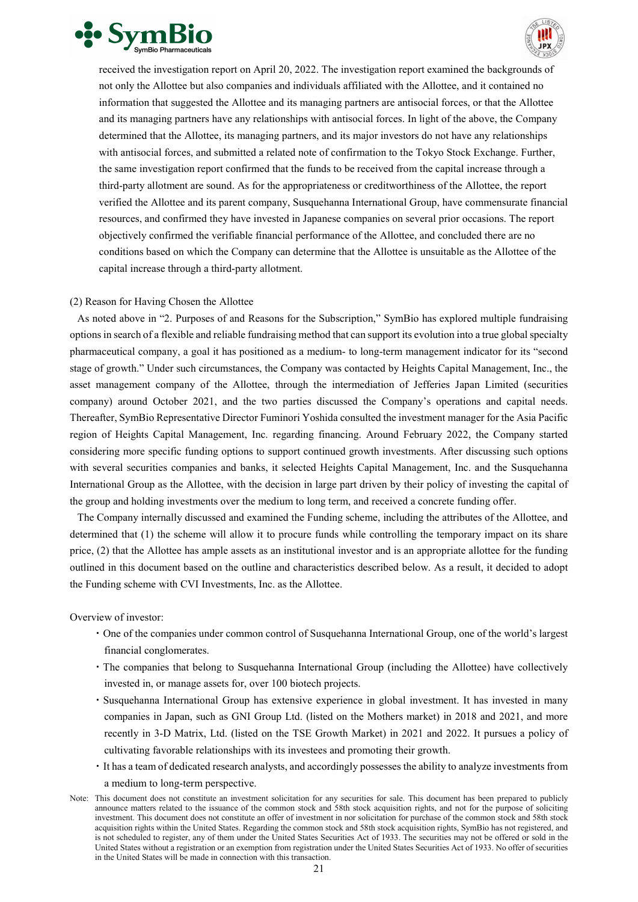



received the investigation report on April 20, 2022. The investigation report examined the backgrounds of not only the Allottee but also companies and individuals affiliated with the Allottee, and it contained no information that suggested the Allottee and its managing partners are antisocial forces, or that the Allottee and its managing partners have any relationships with antisocial forces. In light of the above, the Company determined that the Allottee, its managing partners, and its major investors do not have any relationships with antisocial forces, and submitted a related note of confirmation to the Tokyo Stock Exchange. Further, the same investigation report confirmed that the funds to be received from the capital increase through a third-party allotment are sound. As for the appropriateness or creditworthiness of the Allottee, the report verified the Allottee and its parent company, Susquehanna International Group, have commensurate financial resources, and confirmed they have invested in Japanese companies on several prior occasions. The report objectively confirmed the verifiable financial performance of the Allottee, and concluded there are no conditions based on which the Company can determine that the Allottee is unsuitable as the Allottee of the capital increase through a third-party allotment.

# (2) Reason for Having Chosen the Allottee

As noted above in "2. Purposes of and Reasons for the Subscription," SymBio has explored multiple fundraising optionsin search of a flexible and reliable fundraising method that can support its evolution into a true global specialty pharmaceutical company, a goal it has positioned as a medium- to long-term management indicator for its "second stage of growth." Under such circumstances, the Company was contacted by Heights Capital Management, Inc., the asset management company of the Allottee, through the intermediation of Jefferies Japan Limited (securities company) around October 2021, and the two parties discussed the Company's operations and capital needs. Thereafter, SymBio Representative Director Fuminori Yoshida consulted the investment manager for the Asia Pacific region of Heights Capital Management, Inc. regarding financing. Around February 2022, the Company started considering more specific funding options to support continued growth investments. After discussing such options with several securities companies and banks, it selected Heights Capital Management, Inc. and the Susquehanna International Group as the Allottee, with the decision in large part driven by their policy of investing the capital of the group and holding investments over the medium to long term, and received a concrete funding offer.

The Company internally discussed and examined the Funding scheme, including the attributes of the Allottee, and determined that (1) the scheme will allow it to procure funds while controlling the temporary impact on its share price, (2) that the Allottee has ample assets as an institutional investor and is an appropriate allottee for the funding outlined in this document based on the outline and characteristics described below. As a result, it decided to adopt the Funding scheme with CVI Investments, Inc. as the Allottee.

Overview of investor:

- ・One of the companies under common control of Susquehanna International Group, one of the world's largest financial conglomerates.
- ・The companies that belong to Susquehanna International Group (including the Allottee) have collectively invested in, or manage assets for, over 100 biotech projects.
- ・Susquehanna International Group has extensive experience in global investment. It has invested in many companies in Japan, such as GNI Group Ltd. (listed on the Mothers market) in 2018 and 2021, and more recently in 3-D Matrix, Ltd. (listed on the TSE Growth Market) in 2021 and 2022. It pursues a policy of cultivating favorable relationships with its investees and promoting their growth.
- ・It has a team of dedicated research analysts, and accordingly possesses the ability to analyze investments from a medium to long-term perspective.
- Note: This document does not constitute an investment solicitation for any securities for sale. This document has been prepared to publicly announce matters related to the issuance of the common stock and 58th stock acquisition rights, and not for the purpose of soliciting investment. This document does not constitute an offer of investment in nor solicitation for purchase of the common stock and 58th stock acquisition rights within the United States. Regarding the common stock and 58th stock acquisition rights, SymBio has not registered, and is not scheduled to register, any of them under the United States Securities Act of 1933. The securities may not be offered or sold in the United States without a registration or an exemption from registration under the United States Securities Act of 1933. No offer of securities in the United States will be made in connection with this transaction.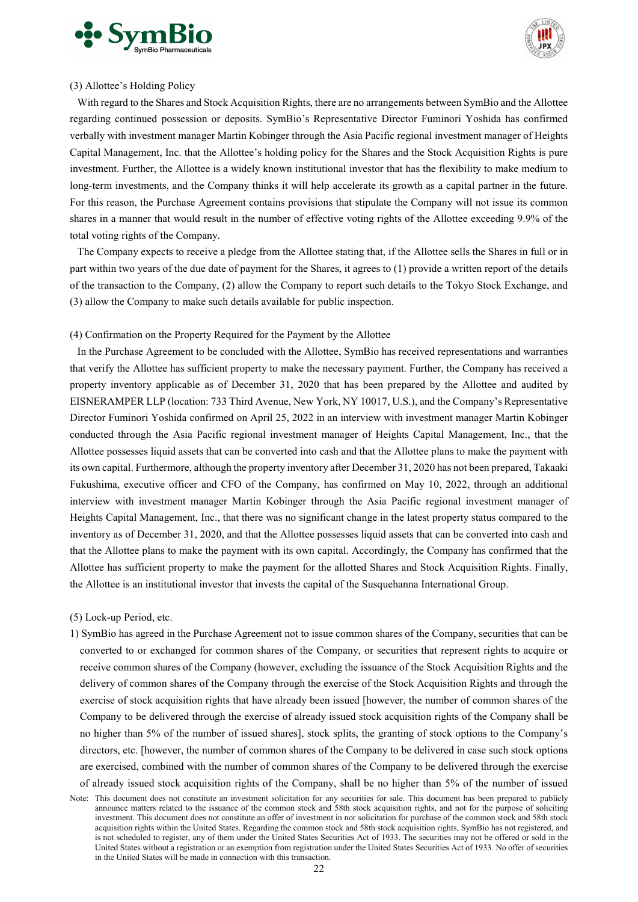



### (3) Allottee's Holding Policy

With regard to the Shares and Stock Acquisition Rights, there are no arrangements between SymBio and the Allottee regarding continued possession or deposits. SymBio's Representative Director Fuminori Yoshida has confirmed verbally with investment manager Martin Kobinger through the Asia Pacific regional investment manager of Heights Capital Management, Inc. that the Allottee's holding policy for the Shares and the Stock Acquisition Rights is pure investment. Further, the Allottee is a widely known institutional investor that has the flexibility to make medium to long-term investments, and the Company thinks it will help accelerate its growth as a capital partner in the future. For this reason, the Purchase Agreement contains provisions that stipulate the Company will not issue its common shares in a manner that would result in the number of effective voting rights of the Allottee exceeding 9.9% of the total voting rights of the Company.

The Company expects to receive a pledge from the Allottee stating that, if the Allottee sells the Shares in full or in part within two years of the due date of payment for the Shares, it agrees to (1) provide a written report of the details of the transaction to the Company, (2) allow the Company to report such details to the Tokyo Stock Exchange, and (3) allow the Company to make such details available for public inspection.

# (4) Confirmation on the Property Required for the Payment by the Allottee

In the Purchase Agreement to be concluded with the Allottee, SymBio has received representations and warranties that verify the Allottee has sufficient property to make the necessary payment. Further, the Company has received a property inventory applicable as of December 31, 2020 that has been prepared by the Allottee and audited by EISNERAMPER LLP (location: 733 Third Avenue, New York, NY 10017, U.S.), and the Company's Representative Director Fuminori Yoshida confirmed on April 25, 2022 in an interview with investment manager Martin Kobinger conducted through the Asia Pacific regional investment manager of Heights Capital Management, Inc., that the Allottee possesses liquid assets that can be converted into cash and that the Allottee plans to make the payment with its own capital. Furthermore, although the property inventory after December 31, 2020 has not been prepared, Takaaki Fukushima, executive officer and CFO of the Company, has confirmed on May 10, 2022, through an additional interview with investment manager Martin Kobinger through the Asia Pacific regional investment manager of Heights Capital Management, Inc., that there was no significant change in the latest property status compared to the inventory as of December 31, 2020, and that the Allottee possesses liquid assets that can be converted into cash and that the Allottee plans to make the payment with its own capital. Accordingly, the Company has confirmed that the Allottee has sufficient property to make the payment for the allotted Shares and Stock Acquisition Rights. Finally, the Allottee is an institutional investor that invests the capital of the Susquehanna International Group.

(5) Lock-up Period, etc.

1) SymBio has agreed in the Purchase Agreement not to issue common shares of the Company, securities that can be converted to or exchanged for common shares of the Company, or securities that represent rights to acquire or receive common shares of the Company (however, excluding the issuance of the Stock Acquisition Rights and the delivery of common shares of the Company through the exercise of the Stock Acquisition Rights and through the exercise of stock acquisition rights that have already been issued [however, the number of common shares of the Company to be delivered through the exercise of already issued stock acquisition rights of the Company shall be no higher than 5% of the number of issued shares], stock splits, the granting of stock options to the Company's directors, etc. [however, the number of common shares of the Company to be delivered in case such stock options are exercised, combined with the number of common shares of the Company to be delivered through the exercise of already issued stock acquisition rights of the Company, shall be no higher than 5% of the number of issued

Note: This document does not constitute an investment solicitation for any securities for sale. This document has been prepared to publicly announce matters related to the issuance of the common stock and 58th stock acquisition rights, and not for the purpose of soliciting investment. This document does not constitute an offer of investment in nor solicitation for purchase of the common stock and 58th stock acquisition rights within the United States. Regarding the common stock and 58th stock acquisition rights, SymBio has not registered, and is not scheduled to register, any of them under the United States Securities Act of 1933. The securities may not be offered or sold in the United States without a registration or an exemption from registration under the United States Securities Act of 1933. No offer of securities in the United States will be made in connection with this transaction.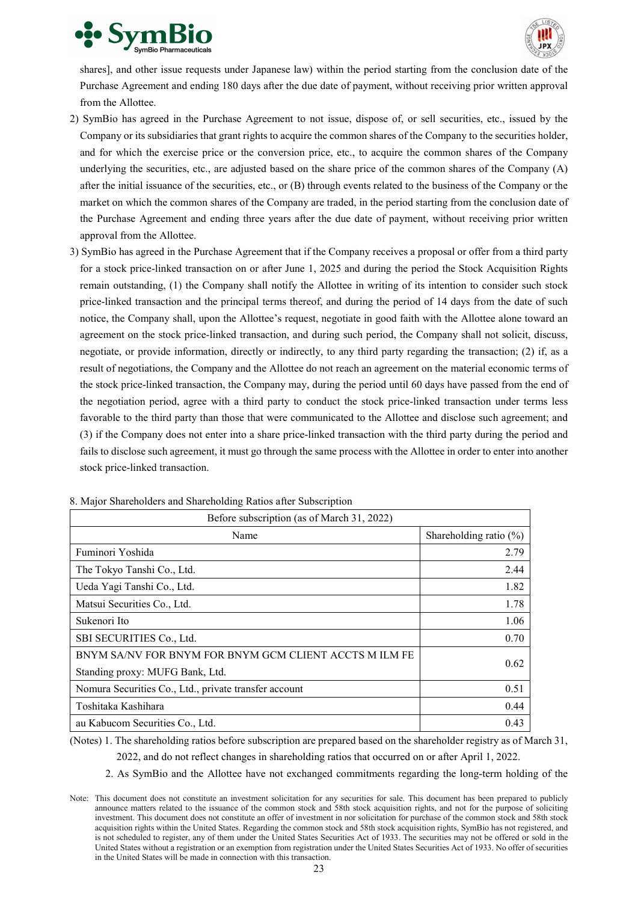



shares], and other issue requests under Japanese law) within the period starting from the conclusion date of the Purchase Agreement and ending 180 days after the due date of payment, without receiving prior written approval from the Allottee.

- 2) SymBio has agreed in the Purchase Agreement to not issue, dispose of, or sell securities, etc., issued by the Company or its subsidiaries that grant rights to acquire the common shares of the Company to the securities holder, and for which the exercise price or the conversion price, etc., to acquire the common shares of the Company underlying the securities, etc., are adjusted based on the share price of the common shares of the Company (A) after the initial issuance of the securities, etc., or (B) through events related to the business of the Company or the market on which the common shares of the Company are traded, in the period starting from the conclusion date of the Purchase Agreement and ending three years after the due date of payment, without receiving prior written approval from the Allottee.
- 3) SymBio has agreed in the Purchase Agreement that if the Company receives a proposal or offer from a third party for a stock price-linked transaction on or after June 1, 2025 and during the period the Stock Acquisition Rights remain outstanding, (1) the Company shall notify the Allottee in writing of its intention to consider such stock price-linked transaction and the principal terms thereof, and during the period of 14 days from the date of such notice, the Company shall, upon the Allottee's request, negotiate in good faith with the Allottee alone toward an agreement on the stock price-linked transaction, and during such period, the Company shall not solicit, discuss, negotiate, or provide information, directly or indirectly, to any third party regarding the transaction; (2) if, as a result of negotiations, the Company and the Allottee do not reach an agreement on the material economic terms of the stock price-linked transaction, the Company may, during the period until 60 days have passed from the end of the negotiation period, agree with a third party to conduct the stock price-linked transaction under terms less favorable to the third party than those that were communicated to the Allottee and disclose such agreement; and (3) if the Company does not enter into a share price-linked transaction with the third party during the period and fails to disclose such agreement, it must go through the same process with the Allottee in order to enter into another stock price-linked transaction.

| Before subscription (as of March 31, 2022)                                                |                           |  |  |
|-------------------------------------------------------------------------------------------|---------------------------|--|--|
| Name                                                                                      | Shareholding ratio $(\%)$ |  |  |
| Fuminori Yoshida                                                                          | 2.79                      |  |  |
| The Tokyo Tanshi Co., Ltd.                                                                | 2.44                      |  |  |
| Ueda Yagi Tanshi Co., Ltd.                                                                | 1.82                      |  |  |
| Matsui Securities Co., Ltd.                                                               | 1.78                      |  |  |
| Sukenori Ito                                                                              | 1.06                      |  |  |
| SBI SECURITIES Co., Ltd.                                                                  | 0.70                      |  |  |
| BNYM SA/NV FOR BNYM FOR BNYM GCM CLIENT ACCTS M ILM FE<br>Standing proxy: MUFG Bank, Ltd. | 0.62                      |  |  |
| Nomura Securities Co., Ltd., private transfer account                                     | 0.51                      |  |  |
| Toshitaka Kashihara                                                                       | 0.44                      |  |  |
| au Kabucom Securities Co., Ltd.                                                           | 0.43                      |  |  |

8. Major Shareholders and Shareholding Ratios after Subscription

(Notes) 1. The shareholding ratios before subscription are prepared based on the shareholder registry as of March 31,

2022, and do not reflect changes in shareholding ratios that occurred on or after April 1, 2022.

2. As SymBio and the Allottee have not exchanged commitments regarding the long-term holding of the

Note: This document does not constitute an investment solicitation for any securities for sale. This document has been prepared to publicly announce matters related to the issuance of the common stock and 58th stock acquisition rights, and not for the purpose of soliciting investment. This document does not constitute an offer of investment in nor solicitation for purchase of the common stock and 58th stock acquisition rights within the United States. Regarding the common stock and 58th stock acquisition rights, SymBio has not registered, and is not scheduled to register, any of them under the United States Securities Act of 1933. The securities may not be offered or sold in the United States without a registration or an exemption from registration under the United States Securities Act of 1933. No offer of securities in the United States will be made in connection with this transaction.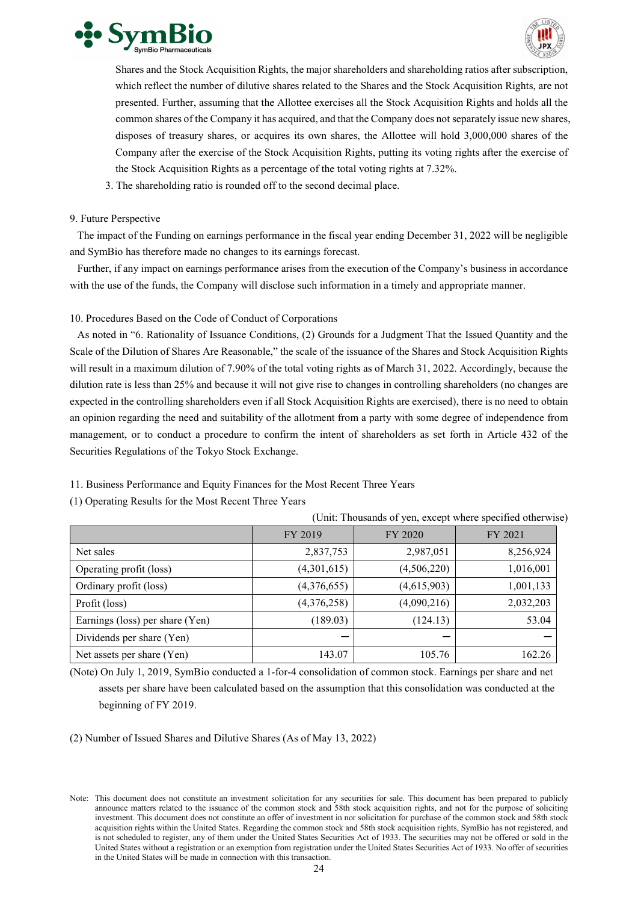



Shares and the Stock Acquisition Rights, the major shareholders and shareholding ratios after subscription, which reflect the number of dilutive shares related to the Shares and the Stock Acquisition Rights, are not presented. Further, assuming that the Allottee exercises all the Stock Acquisition Rights and holds all the common shares of the Company it has acquired, and that the Company does not separately issue new shares, disposes of treasury shares, or acquires its own shares, the Allottee will hold 3,000,000 shares of the Company after the exercise of the Stock Acquisition Rights, putting its voting rights after the exercise of the Stock Acquisition Rights as a percentage of the total voting rights at 7.32%.

3. The shareholding ratio is rounded off to the second decimal place.

# 9. Future Perspective

The impact of the Funding on earnings performance in the fiscal year ending December 31, 2022 will be negligible and SymBio has therefore made no changes to its earnings forecast.

Further, if any impact on earnings performance arises from the execution of the Company's business in accordance with the use of the funds, the Company will disclose such information in a timely and appropriate manner.

10. Procedures Based on the Code of Conduct of Corporations

As noted in "6. Rationality of Issuance Conditions, (2) Grounds for a Judgment That the Issued Quantity and the Scale of the Dilution of Shares Are Reasonable," the scale of the issuance of the Shares and Stock Acquisition Rights will result in a maximum dilution of 7.90% of the total voting rights as of March 31, 2022. Accordingly, because the dilution rate is less than 25% and because it will not give rise to changes in controlling shareholders (no changes are expected in the controlling shareholders even if all Stock Acquisition Rights are exercised), there is no need to obtain an opinion regarding the need and suitability of the allotment from a party with some degree of independence from management, or to conduct a procedure to confirm the intent of shareholders as set forth in Article 432 of the Securities Regulations of the Tokyo Stock Exchange.

11. Business Performance and Equity Finances for the Most Recent Three Years

(1) Operating Results for the Most Recent Three Years

|                                 | FY 2019     | FY 2020       | FY 2021   |
|---------------------------------|-------------|---------------|-----------|
| Net sales                       | 2,837,753   | 2,987,051     | 8,256,924 |
| Operating profit (loss)         | (4,301,615) | (4, 506, 220) | 1,016,001 |
| Ordinary profit (loss)          | (4,376,655) | (4,615,903)   | 1,001,133 |
| Profit (loss)                   | (4,376,258) | (4,090,216)   | 2,032,203 |
| Earnings (loss) per share (Yen) | (189.03)    | (124.13)      | 53.04     |
| Dividends per share (Yen)       |             |               |           |
| Net assets per share (Yen)      | 143.07      | 105.76        | 162.26    |

(Unit: Thousands of yen, except where specified otherwise)

(Note) On July 1, 2019, SymBio conducted a 1-for-4 consolidation of common stock. Earnings per share and net

assets per share have been calculated based on the assumption that this consolidation was conducted at the beginning of FY 2019.

(2) Number of Issued Shares and Dilutive Shares (As of May 13, 2022)

Note: This document does not constitute an investment solicitation for any securities for sale. This document has been prepared to publicly announce matters related to the issuance of the common stock and 58th stock acquisition rights, and not for the purpose of soliciting investment. This document does not constitute an offer of investment in nor solicitation for purchase of the common stock and 58th stock acquisition rights within the United States. Regarding the common stock and 58th stock acquisition rights, SymBio has not registered, and is not scheduled to register, any of them under the United States Securities Act of 1933. The securities may not be offered or sold in the United States without a registration or an exemption from registration under the United States Securities Act of 1933. No offer of securities in the United States will be made in connection with this transaction.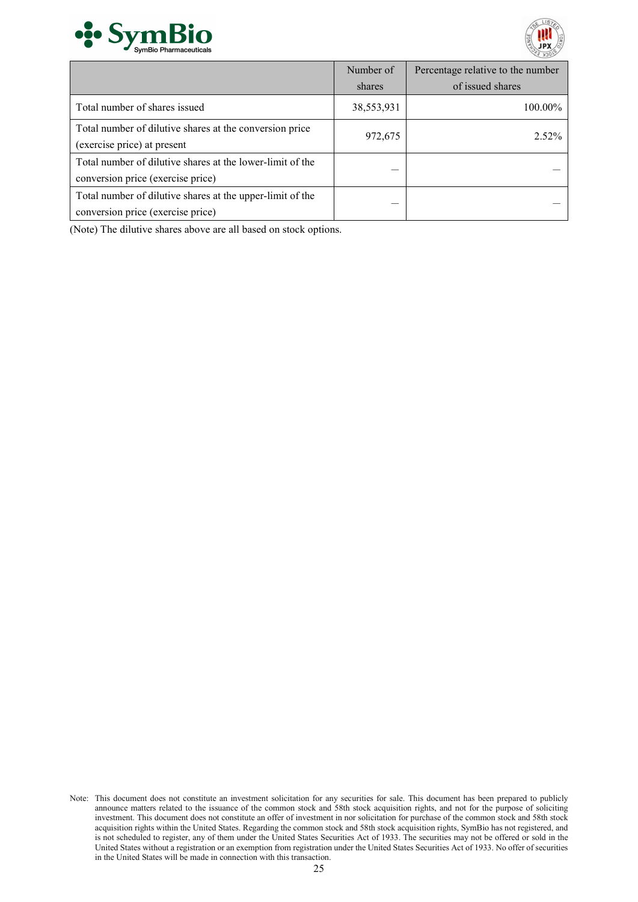



|                                                                                                | Number of  | Percentage relative to the number |
|------------------------------------------------------------------------------------------------|------------|-----------------------------------|
|                                                                                                | shares     | of issued shares                  |
| Total number of shares issued                                                                  | 38,553,931 | 100.00%                           |
| Total number of dilutive shares at the conversion price<br>(exercise price) at present         | 972,675    | 2.52%                             |
| Total number of dilutive shares at the lower-limit of the<br>conversion price (exercise price) |            |                                   |
| Total number of dilutive shares at the upper-limit of the<br>conversion price (exercise price) |            |                                   |

(Note) The dilutive shares above are all based on stock options.

Note: This document does not constitute an investment solicitation for any securities for sale. This document has been prepared to publicly announce matters related to the issuance of the common stock and 58th stock acquisition rights, and not for the purpose of soliciting investment. This document does not constitute an offer of investment in nor solicitation for purchase of the common stock and 58th stock acquisition rights within the United States. Regarding the common stock and 58th stock acquisition rights, SymBio has not registered, and is not scheduled to register, any of them under the United States Securities Act of 1933. The securities may not be offered or sold in the United States without a registration or an exemption from registration under the United States Securities Act of 1933. No offer of securities in the United States will be made in connection with this transaction.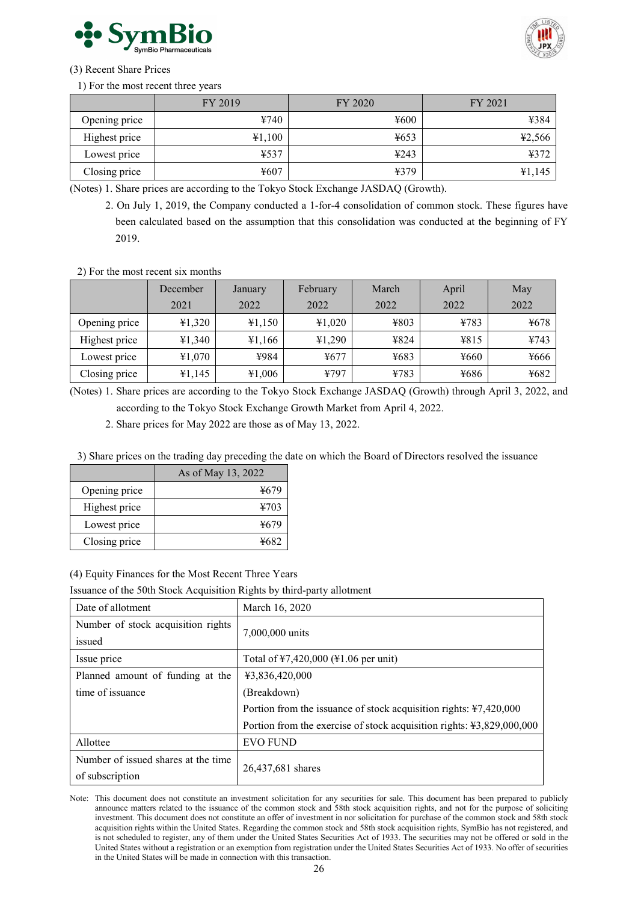



# (3) Recent Share Prices

# 1) For the most recent three years

|               | FY 2019 | FY 2020          | FY 2021 |
|---------------|---------|------------------|---------|
| Opening price | ¥740    | $\frac{1}{2}600$ | ¥384    |
| Highest price | ¥1,100  | $\frac{1}{2}653$ | ¥2,566  |
| Lowest price  | ¥537    | 4243             | 4372    |
| Closing price | ¥607    | 4379             | 41,145  |

(Notes) 1. Share prices are according to the Tokyo Stock Exchange JASDAQ (Growth).

2. On July 1, 2019, the Company conducted a 1-for-4 consolidation of common stock. These figures have been calculated based on the assumption that this consolidation was conducted at the beginning of FY 2019.

2) For the most recent six months

|               | December | January | February | March | April            | May  |
|---------------|----------|---------|----------|-------|------------------|------|
|               | 2021     | 2022    | 2022     | 2022  | 2022             | 2022 |
| Opening price | 41,320   | 41,150  | 41,020   | ¥803  | ¥783             | ¥678 |
| Highest price | ¥1,340   | ¥1,166  | 41,290   | ¥824  | 4815             | ¥743 |
| Lowest price  | ¥1,070   | ¥984    | ¥677     | ¥683  | $\frac{4660}{5}$ | ¥666 |
| Closing price | ¥1,145   | ¥1,006  | ¥797     | ¥783  | ¥686             | ¥682 |

(Notes) 1. Share prices are according to the Tokyo Stock Exchange JASDAQ (Growth) through April 3, 2022, and according to the Tokyo Stock Exchange Growth Market from April 4, 2022.

2. Share prices for May 2022 are those as of May 13, 2022.

3) Share prices on the trading day preceding the date on which the Board of Directors resolved the issuance

|               | As of May 13, 2022 |
|---------------|--------------------|
| Opening price | ¥679               |
| Highest price | 4703               |
| Lowest price  | ¥679               |
| Closing price | ¥682               |

(4) Equity Finances for the Most Recent Three Years

Issuance of the 50th Stock Acquisition Rights by third-party allotment

| Date of allotment                   | March 16, 2020                                                        |  |  |  |
|-------------------------------------|-----------------------------------------------------------------------|--|--|--|
| Number of stock acquisition rights  | 7,000,000 units                                                       |  |  |  |
| issued                              |                                                                       |  |  |  |
| Issue price                         | Total of ¥7,420,000 (¥1.06 per unit)                                  |  |  |  |
| Planned amount of funding at the    | ¥3,836,420,000                                                        |  |  |  |
| time of issuance                    | (Breakdown)                                                           |  |  |  |
|                                     | Portion from the issuance of stock acquisition rights: ¥7,420,000     |  |  |  |
|                                     | Portion from the exercise of stock acquisition rights: ¥3,829,000,000 |  |  |  |
| Allottee                            | <b>EVO FUND</b>                                                       |  |  |  |
| Number of issued shares at the time | 26,437,681 shares                                                     |  |  |  |
| of subscription                     |                                                                       |  |  |  |

Note: This document does not constitute an investment solicitation for any securities for sale. This document has been prepared to publicly announce matters related to the issuance of the common stock and 58th stock acquisition rights, and not for the purpose of soliciting investment. This document does not constitute an offer of investment in nor solicitation for purchase of the common stock and 58th stock acquisition rights within the United States. Regarding the common stock and 58th stock acquisition rights, SymBio has not registered, and is not scheduled to register, any of them under the United States Securities Act of 1933. The securities may not be offered or sold in the United States without a registration or an exemption from registration under the United States Securities Act of 1933. No offer of securities in the United States will be made in connection with this transaction.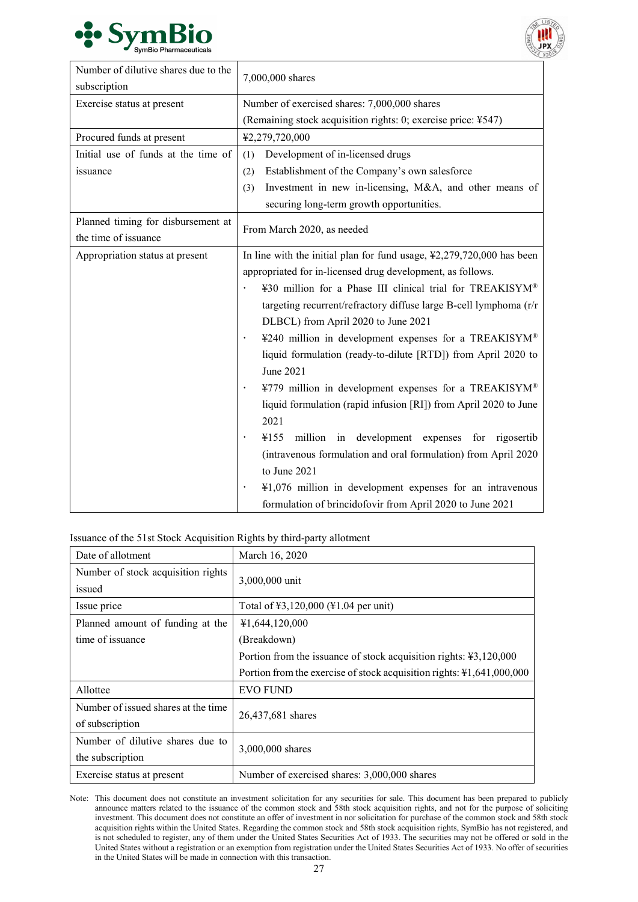



| Number of dilutive shares due to the<br>subscription | 7,000,000 shares                                                                  |  |  |  |  |
|------------------------------------------------------|-----------------------------------------------------------------------------------|--|--|--|--|
| Exercise status at present                           | Number of exercised shares: 7,000,000 shares                                      |  |  |  |  |
|                                                      | (Remaining stock acquisition rights: 0; exercise price: ¥547)                     |  |  |  |  |
| Procured funds at present                            | ¥2,279,720,000                                                                    |  |  |  |  |
| Initial use of funds at the time of                  | Development of in-licensed drugs<br>(1)                                           |  |  |  |  |
| issuance                                             | Establishment of the Company's own salesforce<br>(2)                              |  |  |  |  |
|                                                      | Investment in new in-licensing, M&A, and other means of<br>(3)                    |  |  |  |  |
|                                                      | securing long-term growth opportunities.                                          |  |  |  |  |
| Planned timing for disbursement at                   |                                                                                   |  |  |  |  |
| the time of issuance                                 | From March 2020, as needed                                                        |  |  |  |  |
| Appropriation status at present                      | In line with the initial plan for fund usage, $\frac{1}{2}2,279,720,000$ has been |  |  |  |  |
|                                                      | appropriated for in-licensed drug development, as follows.                        |  |  |  |  |
|                                                      | ¥30 million for a Phase III clinical trial for TREAKISYM®                         |  |  |  |  |
|                                                      | targeting recurrent/refractory diffuse large B-cell lymphoma (r/r                 |  |  |  |  |
|                                                      | DLBCL) from April 2020 to June 2021                                               |  |  |  |  |
|                                                      | ¥240 million in development expenses for a TREAKISYM®                             |  |  |  |  |
|                                                      | liquid formulation (ready-to-dilute [RTD]) from April 2020 to                     |  |  |  |  |
|                                                      | June 2021                                                                         |  |  |  |  |
|                                                      | ¥779 million in development expenses for a TREAKISYM®<br>$\bullet$                |  |  |  |  |
|                                                      | liquid formulation (rapid infusion [RI]) from April 2020 to June                  |  |  |  |  |
|                                                      | 2021                                                                              |  |  |  |  |
|                                                      | million in development expenses for rigosertib<br>¥155                            |  |  |  |  |
|                                                      | (intravenous formulation and oral formulation) from April 2020                    |  |  |  |  |
|                                                      | to June 2021                                                                      |  |  |  |  |
|                                                      | ¥1,076 million in development expenses for an intravenous                         |  |  |  |  |
|                                                      | formulation of brincidofovir from April 2020 to June 2021                         |  |  |  |  |

Issuance of the 51st Stock Acquisition Rights by third-party allotment

| Date of allotment                   | March 16, 2020                                                              |  |  |  |
|-------------------------------------|-----------------------------------------------------------------------------|--|--|--|
| Number of stock acquisition rights  |                                                                             |  |  |  |
| issued                              | 3,000,000 unit                                                              |  |  |  |
| Issue price                         | Total of ¥3,120,000 (¥1.04 per unit)                                        |  |  |  |
| Planned amount of funding at the    | ¥1,644,120,000                                                              |  |  |  |
| time of issuance                    | (Breakdown)                                                                 |  |  |  |
|                                     | Portion from the issuance of stock acquisition rights: $43,120,000$         |  |  |  |
|                                     | Portion from the exercise of stock acquisition rights: $\yen 1,641,000,000$ |  |  |  |
| Allottee                            | <b>EVO FUND</b>                                                             |  |  |  |
| Number of issued shares at the time | 26,437,681 shares                                                           |  |  |  |
| of subscription                     |                                                                             |  |  |  |
| Number of dilutive shares due to    |                                                                             |  |  |  |
| the subscription                    | 3,000,000 shares                                                            |  |  |  |
| Exercise status at present          | Number of exercised shares: 3,000,000 shares                                |  |  |  |

Note: This document does not constitute an investment solicitation for any securities for sale. This document has been prepared to publicly announce matters related to the issuance of the common stock and 58th stock acquisition rights, and not for the purpose of soliciting investment. This document does not constitute an offer of investment in nor solicitation for purchase of the common stock and 58th stock acquisition rights within the United States. Regarding the common stock and 58th stock acquisition rights, SymBio has not registered, and is not scheduled to register, any of them under the United States Securities Act of 1933. The securities may not be offered or sold in the United States without a registration or an exemption from registration under the United States Securities Act of 1933. No offer of securities in the United States will be made in connection with this transaction.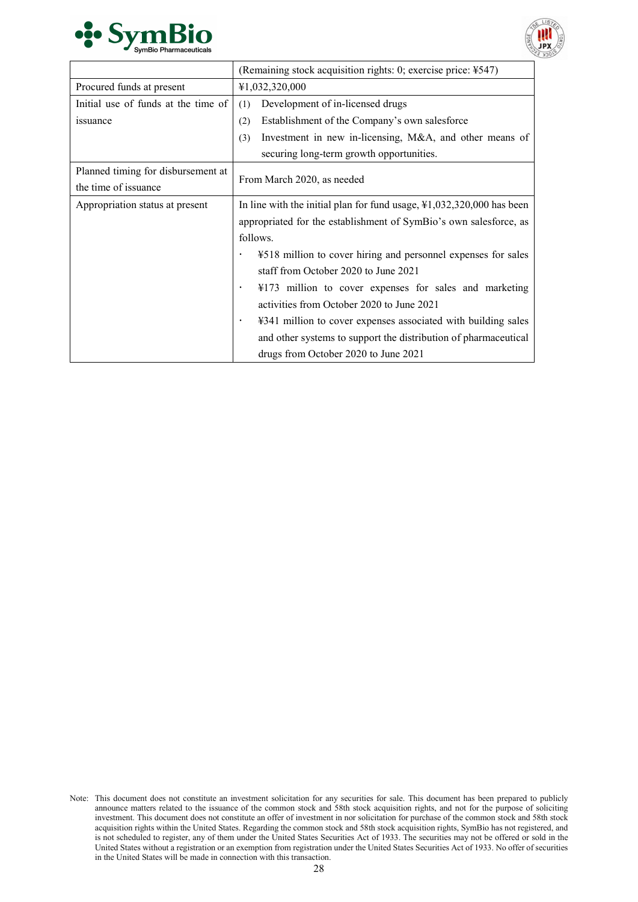



|                                     | (Remaining stock acquisition rights: 0; exercise price: ¥547)                        |  |  |
|-------------------------------------|--------------------------------------------------------------------------------------|--|--|
| Procured funds at present           | ¥1,032,320,000                                                                       |  |  |
| Initial use of funds at the time of | Development of in-licensed drugs<br>(1)                                              |  |  |
| <i>s</i> suance                     | Establishment of the Company's own salesforce<br>(2)                                 |  |  |
|                                     | Investment in new in-licensing, M&A, and other means of<br>(3)                       |  |  |
|                                     | securing long-term growth opportunities.                                             |  |  |
| Planned timing for disbursement at  | From March 2020, as needed                                                           |  |  |
| the time of issuance                |                                                                                      |  |  |
| Appropriation status at present     | In line with the initial plan for fund usage, $\frac{1}{2}$ , 032, 320, 000 has been |  |  |
|                                     | appropriated for the establishment of SymBio's own salesforce, as                    |  |  |
|                                     | follows.                                                                             |  |  |
|                                     | ¥518 million to cover hiring and personnel expenses for sales<br>$\bullet$           |  |  |
|                                     | staff from October 2020 to June 2021                                                 |  |  |
|                                     | ¥173 million to cover expenses for sales and marketing<br>$\bullet$                  |  |  |
|                                     | activities from October 2020 to June 2021                                            |  |  |
|                                     | ¥341 million to cover expenses associated with building sales<br>$\bullet$           |  |  |
|                                     | and other systems to support the distribution of pharmaceutical                      |  |  |
|                                     | drugs from October 2020 to June 2021                                                 |  |  |

Note: This document does not constitute an investment solicitation for any securities for sale. This document has been prepared to publicly announce matters related to the issuance of the common stock and 58th stock acquisition rights, and not for the purpose of soliciting investment. This document does not constitute an offer of investment in nor solicitation for purchase of the common stock and 58th stock acquisition rights within the United States. Regarding the common stock and 58th stock acquisition rights, SymBio has not registered, and is not scheduled to register, any of them under the United States Securities Act of 1933. The securities may not be offered or sold in the United States without a registration or an exemption from registration under the United States Securities Act of 1933. No offer of securities in the United States will be made in connection with this transaction.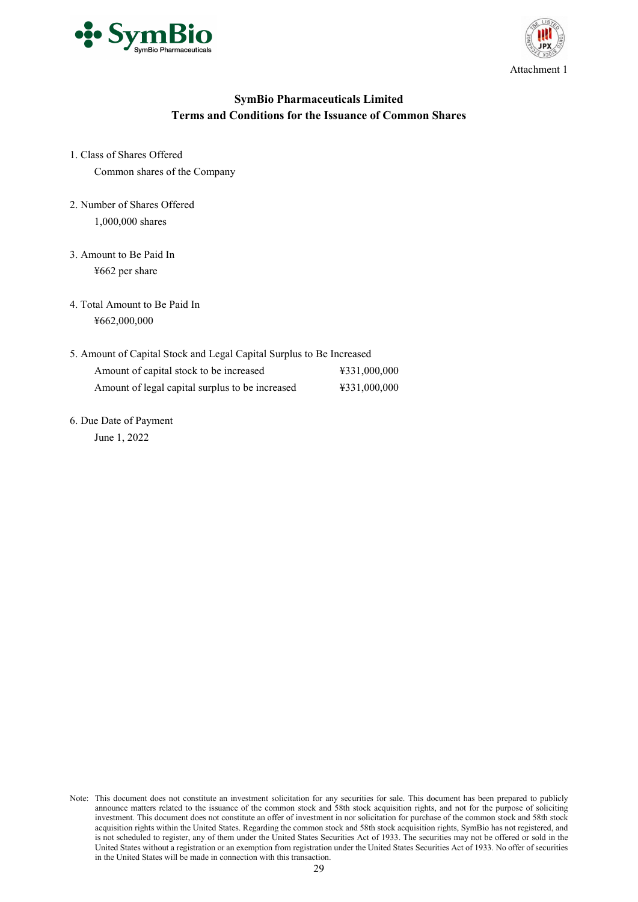



# **SymBio Pharmaceuticals Limited Terms and Conditions for the Issuance of Common Shares**

- 1. Class of Shares Offered Common shares of the Company
- 2. Number of Shares Offered 1,000,000 shares
- 3. Amount to Be Paid In ¥662 per share
- 4. Total Amount to Be Paid In ¥662,000,000
- 5. Amount of Capital Stock and Legal Capital Surplus to Be Increased Amount of capital stock to be increased  $\text{\#331,000,000}$ Amount of legal capital surplus to be increased  $\text{\#331,000,000}$
- 6. Due Date of Payment June 1, 2022

Note: This document does not constitute an investment solicitation for any securities for sale. This document has been prepared to publicly announce matters related to the issuance of the common stock and 58th stock acquisition rights, and not for the purpose of soliciting investment. This document does not constitute an offer of investment in nor solicitation for purchase of the common stock and 58th stock acquisition rights within the United States. Regarding the common stock and 58th stock acquisition rights, SymBio has not registered, and is not scheduled to register, any of them under the United States Securities Act of 1933. The securities may not be offered or sold in the United States without a registration or an exemption from registration under the United States Securities Act of 1933. No offer of securities in the United States will be made in connection with this transaction.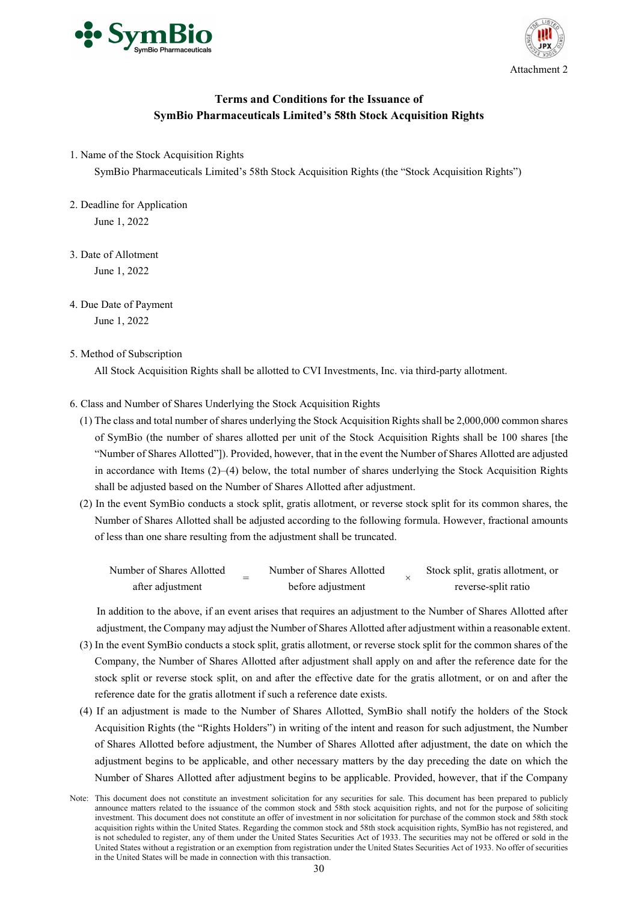



# **Terms and Conditions for the Issuance of SymBio Pharmaceuticals Limited's 58th Stock Acquisition Rights**

1. Name of the Stock Acquisition Rights

SymBio Pharmaceuticals Limited's 58th Stock Acquisition Rights (the "Stock Acquisition Rights")

- 2. Deadline for Application June 1, 2022
- 3. Date of Allotment

June 1, 2022

- 4. Due Date of Payment June 1, 2022
- 5. Method of Subscription

All Stock Acquisition Rights shall be allotted to CVI Investments, Inc. via third-party allotment.

- 6. Class and Number of Shares Underlying the Stock Acquisition Rights
	- (1) The class and total number of shares underlying the Stock Acquisition Rights shall be 2,000,000 common shares of SymBio (the number of shares allotted per unit of the Stock Acquisition Rights shall be 100 shares [the "Number of Shares Allotted"]). Provided, however, that in the event the Number of Shares Allotted are adjusted in accordance with Items (2)–(4) below, the total number of shares underlying the Stock Acquisition Rights shall be adjusted based on the Number of Shares Allotted after adjustment.
	- (2) In the event SymBio conducts a stock split, gratis allotment, or reverse stock split for its common shares, the Number of Shares Allotted shall be adjusted according to the following formula. However, fractional amounts of less than one share resulting from the adjustment shall be truncated.

| Number of Shares Allotted |  | Number of Shares Allotted |  | Stock split, gratis allotment, or |
|---------------------------|--|---------------------------|--|-----------------------------------|
| after adjustment          |  | before adjustment         |  | reverse-split ratio               |

In addition to the above, if an event arises that requires an adjustment to the Number of Shares Allotted after adjustment, the Company may adjust the Number of Shares Allotted after adjustment within a reasonable extent.

- (3) In the event SymBio conducts a stock split, gratis allotment, or reverse stock split for the common shares of the Company, the Number of Shares Allotted after adjustment shall apply on and after the reference date for the stock split or reverse stock split, on and after the effective date for the gratis allotment, or on and after the reference date for the gratis allotment if such a reference date exists.
- (4) If an adjustment is made to the Number of Shares Allotted, SymBio shall notify the holders of the Stock Acquisition Rights (the "Rights Holders") in writing of the intent and reason for such adjustment, the Number of Shares Allotted before adjustment, the Number of Shares Allotted after adjustment, the date on which the adjustment begins to be applicable, and other necessary matters by the day preceding the date on which the Number of Shares Allotted after adjustment begins to be applicable. Provided, however, that if the Company

Note: This document does not constitute an investment solicitation for any securities for sale. This document has been prepared to publicly announce matters related to the issuance of the common stock and 58th stock acquisition rights, and not for the purpose of soliciting investment. This document does not constitute an offer of investment in nor solicitation for purchase of the common stock and 58th stock acquisition rights within the United States. Regarding the common stock and 58th stock acquisition rights, SymBio has not registered, and is not scheduled to register, any of them under the United States Securities Act of 1933. The securities may not be offered or sold in the United States without a registration or an exemption from registration under the United States Securities Act of 1933. No offer of securities in the United States will be made in connection with this transaction.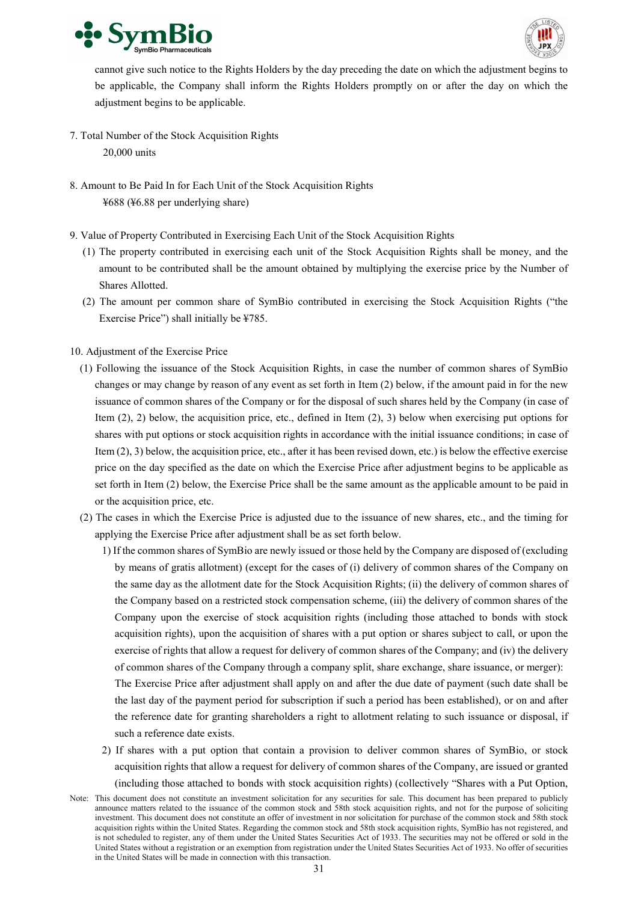



cannot give such notice to the Rights Holders by the day preceding the date on which the adjustment begins to be applicable, the Company shall inform the Rights Holders promptly on or after the day on which the adjustment begins to be applicable.

- 7. Total Number of the Stock Acquisition Rights 20,000 units
- 8. Amount to Be Paid In for Each Unit of the Stock Acquisition Rights ¥688 (¥6.88 per underlying share)
- 9. Value of Property Contributed in Exercising Each Unit of the Stock Acquisition Rights
	- (1) The property contributed in exercising each unit of the Stock Acquisition Rights shall be money, and the amount to be contributed shall be the amount obtained by multiplying the exercise price by the Number of Shares Allotted.
	- (2) The amount per common share of SymBio contributed in exercising the Stock Acquisition Rights ("the Exercise Price") shall initially be ¥785.
- 10. Adjustment of the Exercise Price
	- (1) Following the issuance of the Stock Acquisition Rights, in case the number of common shares of SymBio changes or may change by reason of any event as set forth in Item (2) below, if the amount paid in for the new issuance of common shares of the Company or for the disposal of such shares held by the Company (in case of Item (2), 2) below, the acquisition price, etc., defined in Item (2), 3) below when exercising put options for shares with put options or stock acquisition rights in accordance with the initial issuance conditions; in case of Item (2), 3) below, the acquisition price, etc., after it has been revised down, etc.) is below the effective exercise price on the day specified as the date on which the Exercise Price after adjustment begins to be applicable as set forth in Item (2) below, the Exercise Price shall be the same amount as the applicable amount to be paid in or the acquisition price, etc.
	- (2) The cases in which the Exercise Price is adjusted due to the issuance of new shares, etc., and the timing for applying the Exercise Price after adjustment shall be as set forth below.

1) If the common shares of SymBio are newly issued or those held by the Company are disposed of (excluding by means of gratis allotment) (except for the cases of (i) delivery of common shares of the Company on the same day as the allotment date for the Stock Acquisition Rights; (ii) the delivery of common shares of the Company based on a restricted stock compensation scheme, (iii) the delivery of common shares of the Company upon the exercise of stock acquisition rights (including those attached to bonds with stock acquisition rights), upon the acquisition of shares with a put option or shares subject to call, or upon the exercise of rights that allow a request for delivery of common shares of the Company; and (iv) the delivery of common shares of the Company through a company split, share exchange, share issuance, or merger):

The Exercise Price after adjustment shall apply on and after the due date of payment (such date shall be the last day of the payment period for subscription if such a period has been established), or on and after the reference date for granting shareholders a right to allotment relating to such issuance or disposal, if such a reference date exists.

- 2) If shares with a put option that contain a provision to deliver common shares of SymBio, or stock acquisition rights that allow a request for delivery of common shares of the Company, are issued or granted (including those attached to bonds with stock acquisition rights) (collectively "Shares with a Put Option,
- Note: This document does not constitute an investment solicitation for any securities for sale. This document has been prepared to publicly announce matters related to the issuance of the common stock and 58th stock acquisition rights, and not for the purpose of soliciting investment. This document does not constitute an offer of investment in nor solicitation for purchase of the common stock and 58th stock acquisition rights within the United States. Regarding the common stock and 58th stock acquisition rights, SymBio has not registered, and is not scheduled to register, any of them under the United States Securities Act of 1933. The securities may not be offered or sold in the United States without a registration or an exemption from registration under the United States Securities Act of 1933. No offer of securities in the United States will be made in connection with this transaction.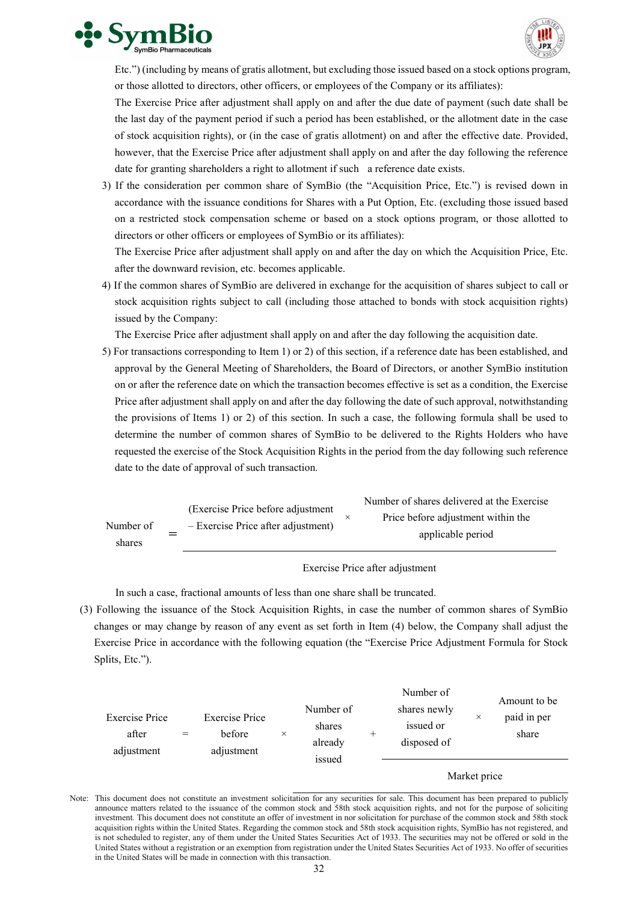



Etc.") (including by means of gratis allotment, but excluding those issued based on a stock options program, or those allotted to directors, other officers, or employees of the Company or its affiliates):

The Exercise Price after adjustment shall apply on and after the due date of payment (such date shall be the last day of the payment period if such a period has been established, or the allotment date in the case of stock acquisition rights), or (in the case of gratis allotment) on and after the effective date. Provided, however, that the Exercise Price after adjustment shall apply on and after the day following the reference date for granting shareholders a right to allotment if such a reference date exists.

3) If the consideration per common share of SymBio (the "Acquisition Price, Etc.") is revised down in accordance with the issuance conditions for Shares with a Put Option, Etc. (excluding those issued based on a restricted stock compensation scheme or based on a stock options program, or those allotted to directors or other officers or employees of SymBio or its affiliates):

The Exercise Price after adjustment shall apply on and after the day on which the Acquisition Price, Etc. after the downward revision, etc. becomes applicable.

4) If the common shares of SymBio are delivered in exchange for the acquisition of shares subject to call or stock acquisition rights subject to call (including those attached to bonds with stock acquisition rights) issued by the Company:

The Exercise Price after adjustment shall apply on and after the day following the acquisition date.

5) For transactions corresponding to Item 1) or 2) of this section, if a reference date has been established, and approval by the General Meeting of Shareholders, the Board of Directors, or another SymBio institution on or after the reference date on which the transaction becomes effective is set as a condition, the Exercise Price after adjustment shall apply on and after the day following the date of such approval, notwithstanding the provisions of Items 1) or 2) of this section. In such a case, the following formula shall be used to determine the number of common shares of SymBio to be delivered to the Rights Holders who have requested the exercise of the Stock Acquisition Rights in the period from the day following such reference date to the date of approval of such transaction.

|           |                                                                           | Number of shares delivered at the Exercise |
|-----------|---------------------------------------------------------------------------|--------------------------------------------|
| Number of | (Exercise Price before adjustment<br>$-$ Exercise Price after adjustment) | Price before adjustment within the         |
| shares    |                                                                           | applicable period                          |

#### Exercise Price after adjustment

In such a case, fractional amounts of less than one share shall be truncated.

(3) Following the issuance of the Stock Acquisition Rights, in case the number of common shares of SymBio changes or may change by reason of any event as set forth in Item (4) below, the Company shall adjust the Exercise Price in accordance with the following equation (the "Exercise Price Adjustment Formula for Stock Splits, Etc.").

|                                       |     |                                               |          |                                          |   | Number of                                |          | Amount to be         |
|---------------------------------------|-----|-----------------------------------------------|----------|------------------------------------------|---|------------------------------------------|----------|----------------------|
| Exercise Price<br>after<br>adjustment | $=$ | <b>Exercise Price</b><br>before<br>adjustment | $\times$ | Number of<br>shares<br>already<br>issued | - | shares newly<br>issued or<br>disposed of | $\times$ | paid in per<br>share |

#### Market price

Note: This document does not constitute an investment solicitation for any securities for sale. This document has been prepared to publicly announce matters related to the issuance of the common stock and 58th stock acquisition rights, and not for the purpose of soliciting investment. This document does not constitute an offer of investment in nor solicitation for purchase of the common stock and 58th stock acquisition rights within the United States. Regarding the common stock and 58th stock acquisition rights, SymBio has not registered, and is not scheduled to register, any of them under the United States Securities Act of 1933. The securities may not be offered or sold in the United States without a registration or an exemption from registration under the United States Securities Act of 1933. No offer of securities in the United States will be made in connection with this transaction.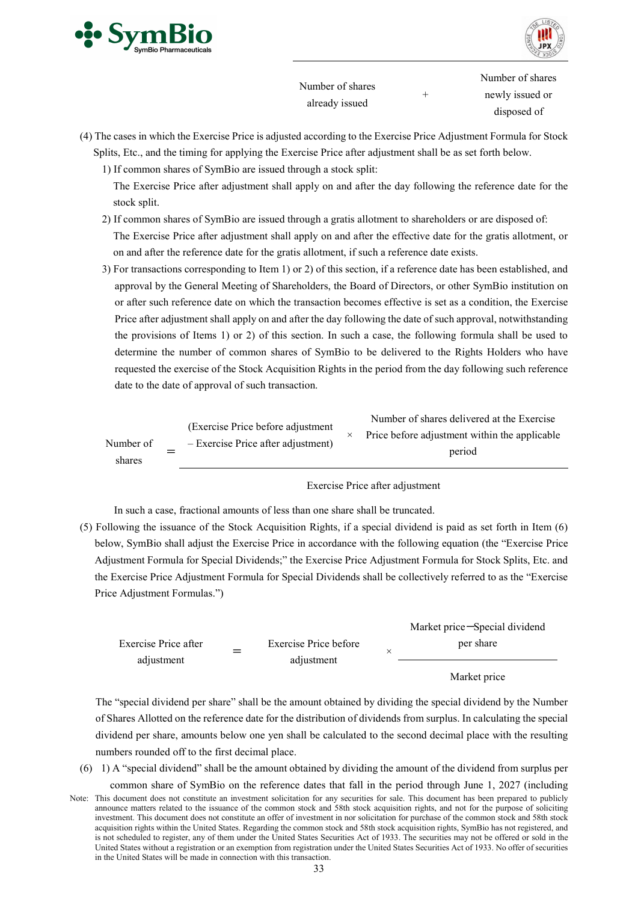



Number of shares already issued

+

Number of shares newly issued or disposed of

- (4) The cases in which the Exercise Price is adjusted according to the Exercise Price Adjustment Formula for Stock Splits, Etc., and the timing for applying the Exercise Price after adjustment shall be as set forth below.
	- 1) If common shares of SymBio are issued through a stock split:
	- The Exercise Price after adjustment shall apply on and after the day following the reference date for the stock split.
	- 2) If common shares of SymBio are issued through a gratis allotment to shareholders or are disposed of: The Exercise Price after adjustment shall apply on and after the effective date for the gratis allotment, or on and after the reference date for the gratis allotment, if such a reference date exists.
	- 3) For transactions corresponding to Item 1) or 2) of this section, if a reference date has been established, and approval by the General Meeting of Shareholders, the Board of Directors, or other SymBio institution on or after such reference date on which the transaction becomes effective is set as a condition, the Exercise Price after adjustment shall apply on and after the day following the date of such approval, notwithstanding the provisions of Items 1) or 2) of this section. In such a case, the following formula shall be used to determine the number of common shares of SymBio to be delivered to the Rights Holders who have requested the exercise of the Stock Acquisition Rights in the period from the day following such reference date to the date of approval of such transaction.

|                     | (Exercise Price before adjustment)   | Number of shares delivered at the Exercise<br>Price before adjustment within the applicable |
|---------------------|--------------------------------------|---------------------------------------------------------------------------------------------|
| Number of<br>shares | $-$ Exercise Price after adjustment) | period                                                                                      |

# Exercise Price after adjustment

In such a case, fractional amounts of less than one share shall be truncated.

(5) Following the issuance of the Stock Acquisition Rights, if a special dividend is paid as set forth in Item (6) below, SymBio shall adjust the Exercise Price in accordance with the following equation (the "Exercise Price Adjustment Formula for Special Dividends;" the Exercise Price Adjustment Formula for Stock Splits, Etc. and the Exercise Price Adjustment Formula for Special Dividends shall be collectively referred to as the "Exercise Price Adjustment Formulas.")

|                                    |                       | Market price -Special dividend |
|------------------------------------|-----------------------|--------------------------------|
| Exercise Price after<br>adjustment | Exercise Price before | per share                      |
|                                    | adjustment            |                                |

Market price

The "special dividend per share" shall be the amount obtained by dividing the special dividend by the Number of Shares Allotted on the reference date for the distribution of dividends from surplus. In calculating the special dividend per share, amounts below one yen shall be calculated to the second decimal place with the resulting numbers rounded off to the first decimal place.

- (6) 1) A "special dividend" shall be the amount obtained by dividing the amount of the dividend from surplus per
- Note: This document does not constitute an investment solicitation for any securities for sale. This document has been prepared to publicly announce matters related to the issuance of the common stock and 58th stock acquisition rights, and not for the purpose of soliciting investment. This document does not constitute an offer of investment in nor solicitation for purchase of the common stock and 58th stock acquisition rights within the United States. Regarding the common stock and 58th stock acquisition rights, SymBio has not registered, and is not scheduled to register, any of them under the United States Securities Act of 1933. The securities may not be offered or sold in the United States without a registration or an exemption from registration under the United States Securities Act of 1933. No offer of securities in the United States will be made in connection with this transaction. common share of SymBio on the reference dates that fall in the period through June 1, 2027 (including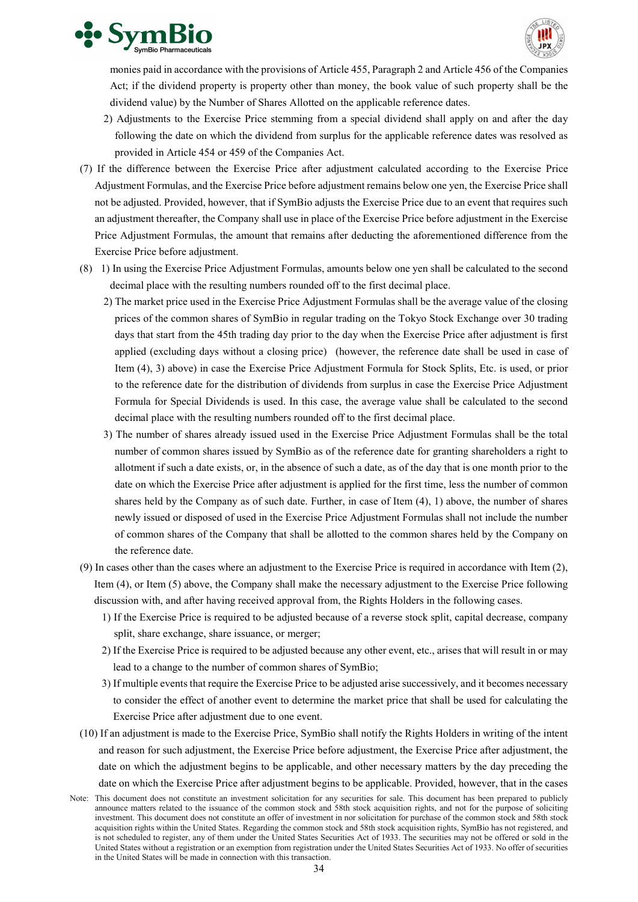



monies paid in accordance with the provisions of Article 455, Paragraph 2 and Article 456 of the Companies Act; if the dividend property is property other than money, the book value of such property shall be the dividend value) by the Number of Shares Allotted on the applicable reference dates.

- 2) Adjustments to the Exercise Price stemming from a special dividend shall apply on and after the day following the date on which the dividend from surplus for the applicable reference dates was resolved as provided in Article 454 or 459 of the Companies Act.
- (7) If the difference between the Exercise Price after adjustment calculated according to the Exercise Price Adjustment Formulas, and the Exercise Price before adjustment remains below one yen, the Exercise Price shall not be adjusted. Provided, however, that if SymBio adjusts the Exercise Price due to an event that requires such an adjustment thereafter, the Company shall use in place of the Exercise Price before adjustment in the Exercise Price Adjustment Formulas, the amount that remains after deducting the aforementioned difference from the Exercise Price before adjustment.
- (8) 1) In using the Exercise Price Adjustment Formulas, amounts below one yen shall be calculated to the second decimal place with the resulting numbers rounded off to the first decimal place.
	- 2) The market price used in the Exercise Price Adjustment Formulas shall be the average value of the closing prices of the common shares of SymBio in regular trading on the Tokyo Stock Exchange over 30 trading days that start from the 45th trading day prior to the day when the Exercise Price after adjustment is first applied (excluding days without a closing price) (however, the reference date shall be used in case of Item (4), 3) above) in case the Exercise Price Adjustment Formula for Stock Splits, Etc. is used, or prior to the reference date for the distribution of dividends from surplus in case the Exercise Price Adjustment Formula for Special Dividends is used. In this case, the average value shall be calculated to the second decimal place with the resulting numbers rounded off to the first decimal place.
	- 3) The number of shares already issued used in the Exercise Price Adjustment Formulas shall be the total number of common shares issued by SymBio as of the reference date for granting shareholders a right to allotment if such a date exists, or, in the absence of such a date, as of the day that is one month prior to the date on which the Exercise Price after adjustment is applied for the first time, less the number of common shares held by the Company as of such date. Further, in case of Item (4), 1) above, the number of shares newly issued or disposed of used in the Exercise Price Adjustment Formulas shall not include the number of common shares of the Company that shall be allotted to the common shares held by the Company on the reference date.
- (9) In cases other than the cases where an adjustment to the Exercise Price is required in accordance with Item (2), Item (4), or Item (5) above, the Company shall make the necessary adjustment to the Exercise Price following discussion with, and after having received approval from, the Rights Holders in the following cases.
	- 1) If the Exercise Price is required to be adjusted because of a reverse stock split, capital decrease, company split, share exchange, share issuance, or merger;
	- 2) If the Exercise Price is required to be adjusted because any other event, etc., arises that will result in or may lead to a change to the number of common shares of SymBio;
	- 3) If multiple events that require the Exercise Price to be adjusted arise successively, and it becomes necessary to consider the effect of another event to determine the market price that shall be used for calculating the Exercise Price after adjustment due to one event.
- (10) If an adjustment is made to the Exercise Price, SymBio shall notify the Rights Holders in writing of the intent and reason for such adjustment, the Exercise Price before adjustment, the Exercise Price after adjustment, the date on which the adjustment begins to be applicable, and other necessary matters by the day preceding the date on which the Exercise Price after adjustment begins to be applicable. Provided, however, that in the cases
- Note: This document does not constitute an investment solicitation for any securities for sale. This document has been prepared to publicly announce matters related to the issuance of the common stock and 58th stock acquisition rights, and not for the purpose of soliciting investment. This document does not constitute an offer of investment in nor solicitation for purchase of the common stock and 58th stock acquisition rights within the United States. Regarding the common stock and 58th stock acquisition rights, SymBio has not registered, and is not scheduled to register, any of them under the United States Securities Act of 1933. The securities may not be offered or sold in the United States without a registration or an exemption from registration under the United States Securities Act of 1933. No offer of securities in the United States will be made in connection with this transaction.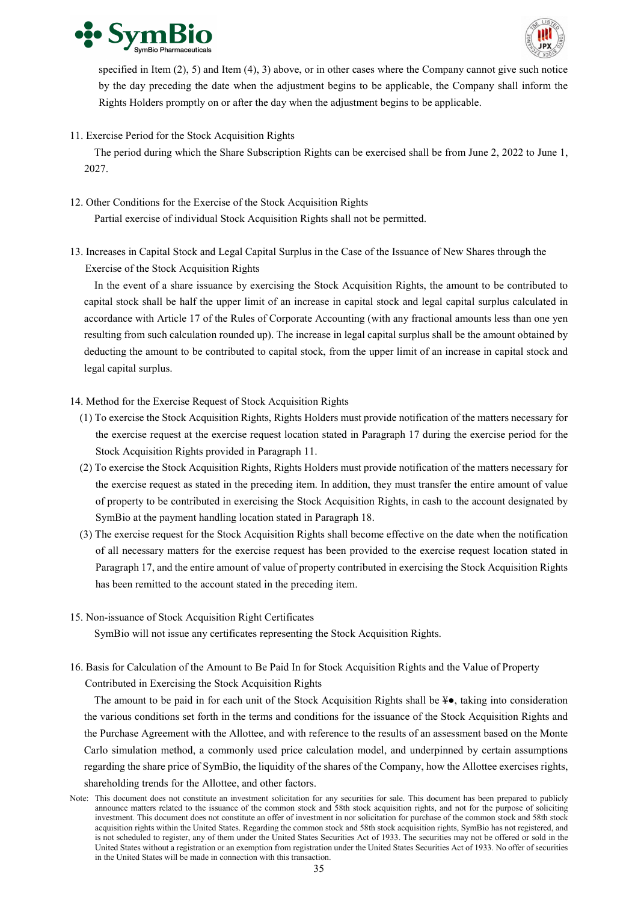



specified in Item (2), 5) and Item (4), 3) above, or in other cases where the Company cannot give such notice by the day preceding the date when the adjustment begins to be applicable, the Company shall inform the Rights Holders promptly on or after the day when the adjustment begins to be applicable.

11. Exercise Period for the Stock Acquisition Rights

The period during which the Share Subscription Rights can be exercised shall be from June 2, 2022 to June 1, 2027.

- 12. Other Conditions for the Exercise of the Stock Acquisition Rights Partial exercise of individual Stock Acquisition Rights shall not be permitted.
- 13. Increases in Capital Stock and Legal Capital Surplus in the Case of the Issuance of New Shares through the Exercise of the Stock Acquisition Rights

In the event of a share issuance by exercising the Stock Acquisition Rights, the amount to be contributed to capital stock shall be half the upper limit of an increase in capital stock and legal capital surplus calculated in accordance with Article 17 of the Rules of Corporate Accounting (with any fractional amounts less than one yen resulting from such calculation rounded up). The increase in legal capital surplus shall be the amount obtained by deducting the amount to be contributed to capital stock, from the upper limit of an increase in capital stock and legal capital surplus.

- 14. Method for the Exercise Request of Stock Acquisition Rights
	- (1) To exercise the Stock Acquisition Rights, Rights Holders must provide notification of the matters necessary for the exercise request at the exercise request location stated in Paragraph 17 during the exercise period for the Stock Acquisition Rights provided in Paragraph 11.
	- (2) To exercise the Stock Acquisition Rights, Rights Holders must provide notification of the matters necessary for the exercise request as stated in the preceding item. In addition, they must transfer the entire amount of value of property to be contributed in exercising the Stock Acquisition Rights, in cash to the account designated by SymBio at the payment handling location stated in Paragraph 18.
	- (3) The exercise request for the Stock Acquisition Rights shall become effective on the date when the notification of all necessary matters for the exercise request has been provided to the exercise request location stated in Paragraph 17, and the entire amount of value of property contributed in exercising the Stock Acquisition Rights has been remitted to the account stated in the preceding item.
- 15. Non-issuance of Stock Acquisition Right Certificates

SymBio will not issue any certificates representing the Stock Acquisition Rights.

16. Basis for Calculation of the Amount to Be Paid In for Stock Acquisition Rights and the Value of Property Contributed in Exercising the Stock Acquisition Rights

The amount to be paid in for each unit of the Stock Acquisition Rights shall be  $\ddagger \bullet$ , taking into consideration the various conditions set forth in the terms and conditions for the issuance of the Stock Acquisition Rights and the Purchase Agreement with the Allottee, and with reference to the results of an assessment based on the Monte Carlo simulation method, a commonly used price calculation model, and underpinned by certain assumptions regarding the share price of SymBio, the liquidity of the shares of the Company, how the Allottee exercises rights, shareholding trends for the Allottee, and other factors.

Note: This document does not constitute an investment solicitation for any securities for sale. This document has been prepared to publicly announce matters related to the issuance of the common stock and 58th stock acquisition rights, and not for the purpose of soliciting investment. This document does not constitute an offer of investment in nor solicitation for purchase of the common stock and 58th stock acquisition rights within the United States. Regarding the common stock and 58th stock acquisition rights, SymBio has not registered, and is not scheduled to register, any of them under the United States Securities Act of 1933. The securities may not be offered or sold in the United States without a registration or an exemption from registration under the United States Securities Act of 1933. No offer of securities in the United States will be made in connection with this transaction.